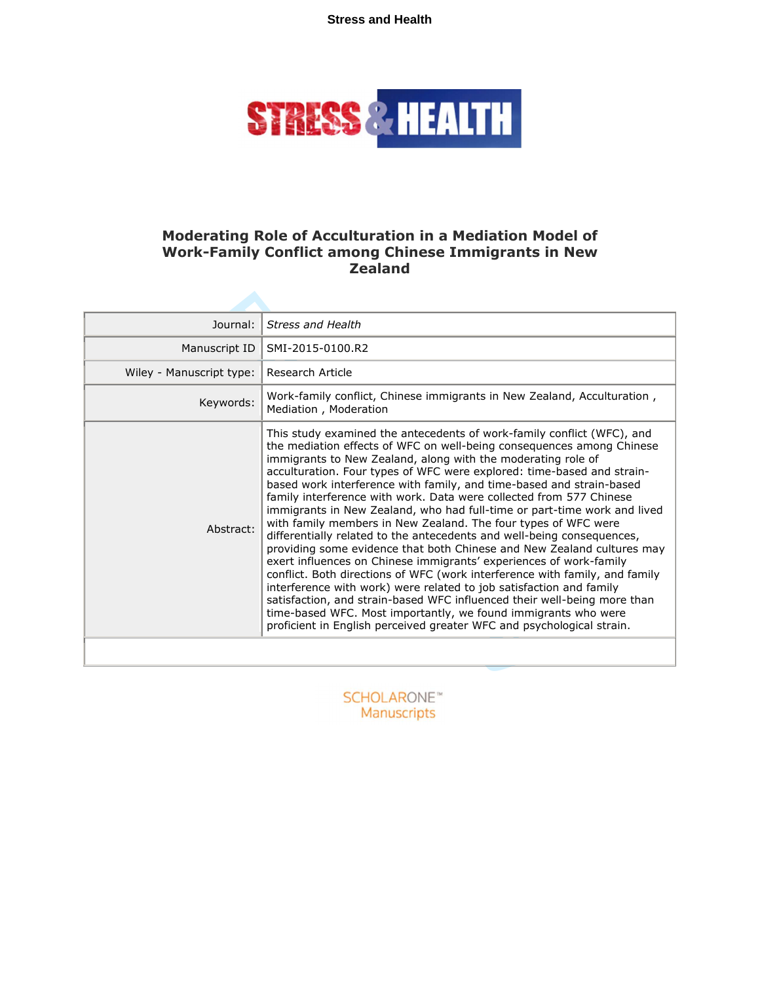**Stress and Health**



## **Moderating Role of Acculturation in a Mediation Model of Work-Family Conflict among Chinese Immigrants in New Zealand**

| Journal:                 | <b>Stress and Health</b>                                                                                                                                                                                                                                                                                                                                                                                                                                                                                                                                                                                                                                                                                                                                                                                                                                                                                                                                                                                                                                                                                                                                                                      |
|--------------------------|-----------------------------------------------------------------------------------------------------------------------------------------------------------------------------------------------------------------------------------------------------------------------------------------------------------------------------------------------------------------------------------------------------------------------------------------------------------------------------------------------------------------------------------------------------------------------------------------------------------------------------------------------------------------------------------------------------------------------------------------------------------------------------------------------------------------------------------------------------------------------------------------------------------------------------------------------------------------------------------------------------------------------------------------------------------------------------------------------------------------------------------------------------------------------------------------------|
| Manuscript ID            | SMI-2015-0100.R2                                                                                                                                                                                                                                                                                                                                                                                                                                                                                                                                                                                                                                                                                                                                                                                                                                                                                                                                                                                                                                                                                                                                                                              |
| Wiley - Manuscript type: | Research Article                                                                                                                                                                                                                                                                                                                                                                                                                                                                                                                                                                                                                                                                                                                                                                                                                                                                                                                                                                                                                                                                                                                                                                              |
| Keywords:                | Work-family conflict, Chinese immigrants in New Zealand, Acculturation,<br>Mediation, Moderation                                                                                                                                                                                                                                                                                                                                                                                                                                                                                                                                                                                                                                                                                                                                                                                                                                                                                                                                                                                                                                                                                              |
| Abstract:                | This study examined the antecedents of work-family conflict (WFC), and<br>the mediation effects of WFC on well-being consequences among Chinese<br>immigrants to New Zealand, along with the moderating role of<br>acculturation. Four types of WFC were explored: time-based and strain-<br>based work interference with family, and time-based and strain-based<br>family interference with work. Data were collected from 577 Chinese<br>immigrants in New Zealand, who had full-time or part-time work and lived<br>with family members in New Zealand. The four types of WFC were<br>differentially related to the antecedents and well-being consequences,<br>providing some evidence that both Chinese and New Zealand cultures may<br>exert influences on Chinese immigrants' experiences of work-family<br>conflict. Both directions of WFC (work interference with family, and family<br>interference with work) were related to job satisfaction and family<br>satisfaction, and strain-based WFC influenced their well-being more than<br>time-based WFC. Most importantly, we found immigrants who were<br>proficient in English perceived greater WFC and psychological strain. |
|                          |                                                                                                                                                                                                                                                                                                                                                                                                                                                                                                                                                                                                                                                                                                                                                                                                                                                                                                                                                                                                                                                                                                                                                                                               |
|                          |                                                                                                                                                                                                                                                                                                                                                                                                                                                                                                                                                                                                                                                                                                                                                                                                                                                                                                                                                                                                                                                                                                                                                                                               |

**SCHOLARONE**™ Manuscripts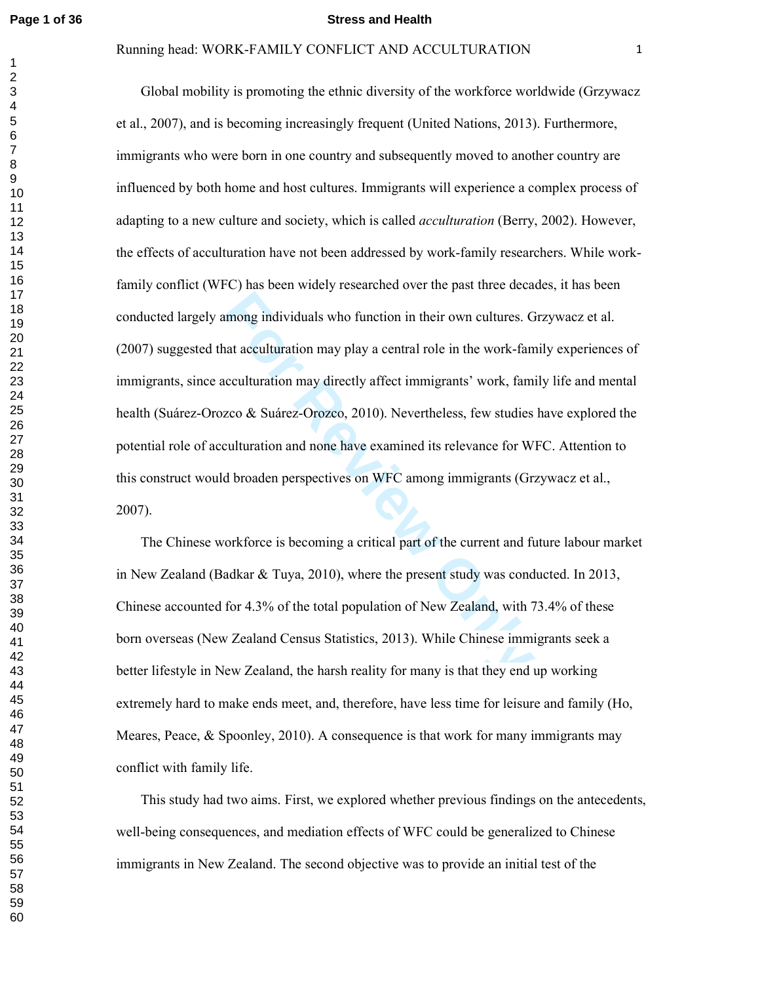#### **Page 1 of 36 Stress and Health**

#### Running head: WORK-FAMILY CONFLICT AND ACCULTURATION

mong individuals who function in their own cultures. G<br>
and acculturation may play a central role in the work-fan<br>
reculturation may directly affect immigrants' work, fam<br>
zco & Suárez-Orozco, 2010). Nevertheless, few stud Global mobility is promoting the ethnic diversity of the workforce worldwide (Grzywacz et al., 2007), and is becoming increasingly frequent (United Nations, 2013). Furthermore, immigrants who were born in one country and subsequently moved to another country are influenced by both home and host cultures. Immigrants will experience a complex process of adapting to a new culture and society, which is called *acculturation* (Berry, 2002). However, the effects of acculturation have not been addressed by work-family researchers. While workfamily conflict (WFC) has been widely researched over the past three decades, it has been conducted largely among individuals who function in their own cultures. Grzywacz et al. (2007) suggested that acculturation may play a central role in the work-family experiences of immigrants, since acculturation may directly affect immigrants' work, family life and mental health (Suárez-Orozco & Suárez-Orozco, 2010). Nevertheless, few studies have explored the potential role of acculturation and none have examined its relevance for WFC. Attention to this construct would broaden perspectives on WFC among immigrants (Grzywacz et al., 2007).

 The Chinese workforce is becoming a critical part of the current and future labour market in New Zealand (Badkar & Tuya, 2010), where the present study was conducted. In 2013, Chinese accounted for 4.3% of the total population of New Zealand, with 73.4% of these born overseas (New Zealand Census Statistics, 2013). While Chinese immigrants seek a better lifestyle in New Zealand, the harsh reality for many is that they end up working extremely hard to make ends meet, and, therefore, have less time for leisure and family (Ho, Meares, Peace,  $\&$  Spoonley, 2010). A consequence is that work for many immigrants may conflict with family life.

 This study had two aims. First, we explored whether previous findings on the antecedents, well-being consequences, and mediation effects of WFC could be generalized to Chinese immigrants in New Zealand. The second objective was to provide an initial test of the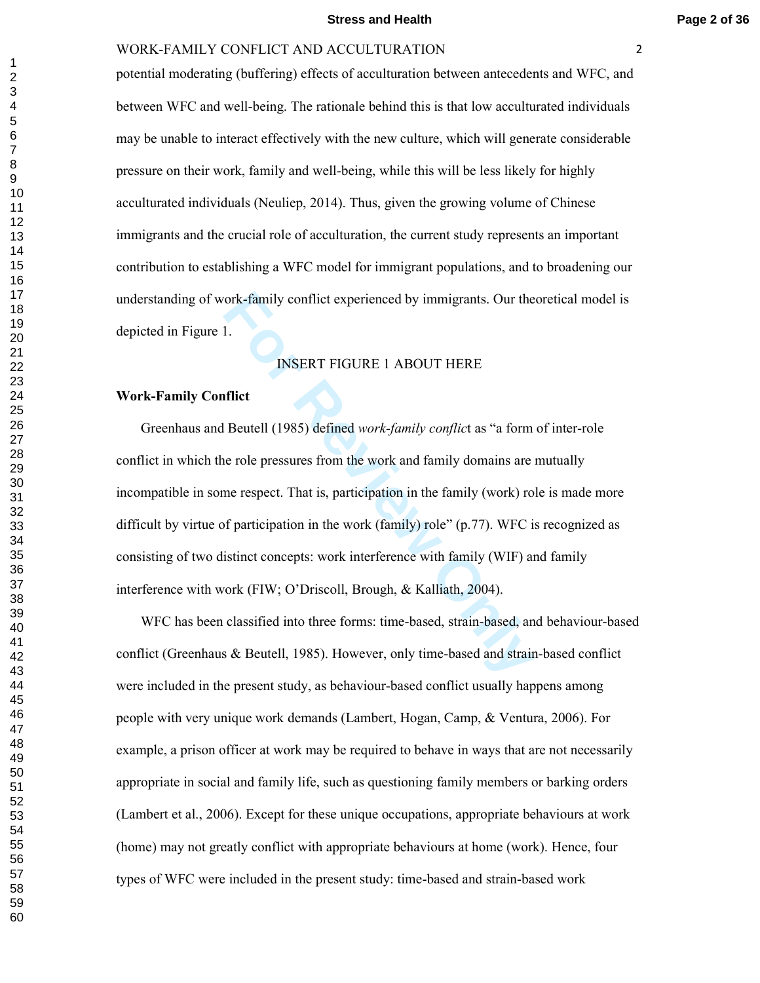#### **Stress and Health Page 2 of 36**

#### WORK-FAMILY CONFLICT AND ACCULTURATION

potential moderating (buffering) effects of acculturation between antecedents and WFC, and between WFC and well-being. The rationale behind this is that low acculturated individuals may be unable to interact effectively with the new culture, which will generate considerable pressure on their work, family and well-being, while this will be less likely for highly acculturated individuals (Neuliep, 2014). Thus, given the growing volume of Chinese immigrants and the crucial role of acculturation, the current study represents an important contribution to establishing a WFC model for immigrant populations, and to broadening our understanding of work-family conflict experienced by immigrants. Our theoretical model is depicted in Figure 1.

## INSERT FIGURE 1 ABOUT HERE

## **Work-Family Conflict**

ork-family conflict experienced by immigrants. Our the<br>
1.<br>
INSERT FIGURE 1 ABOUT HERE<br> **Flict**<br> **Fluential (1985)** defined *work-family conflict* as "a form<br>
ne role pressures from the work and family domains are<br>
me resp Greenhaus and Beutell (1985) defined *work-family conflic*t as "a form of inter-role conflict in which the role pressures from the work and family domains are mutually incompatible in some respect. That is, participation in the family (work) role is made more difficult by virtue of participation in the work (family) role" (p.77). WFC is recognized as consisting of two distinct concepts: work interference with family (WIF) and family interference with work (FIW; O'Driscoll, Brough, & Kalliath, 2004).

 WFC has been classified into three forms: time-based, strain-based, and behaviour-based conflict (Greenhaus & Beutell, 1985). However, only time-based and strain-based conflict were included in the present study, as behaviour-based conflict usually happens among people with very unique work demands (Lambert, Hogan, Camp, & Ventura, 2006). For example, a prison officer at work may be required to behave in ways that are not necessarily appropriate in social and family life, such as questioning family members or barking orders (Lambert et al., 2006). Except for these unique occupations, appropriate behaviours at work (home) may not greatly conflict with appropriate behaviours at home (work). Hence, four types of WFC were included in the present study: time-based and strain-based work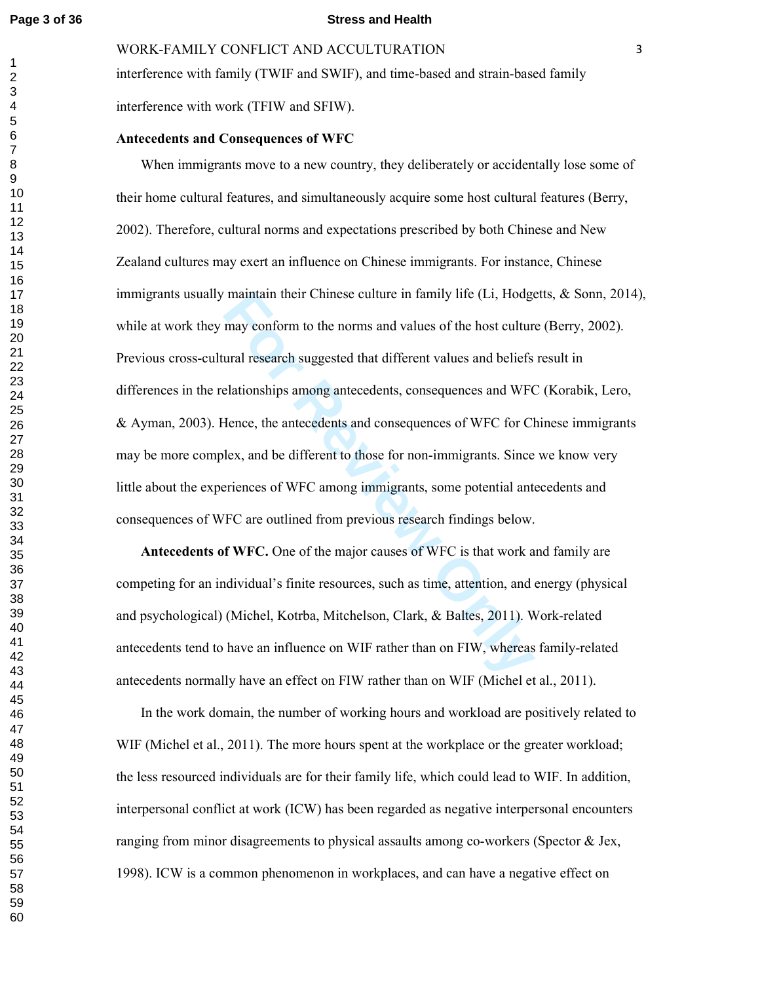#### **Page 3 of 36 Stress and Health**

WORK-FAMILY CONFLICT AND ACCULTURATION

interference with family (TWIF and SWIF), and time-based and strain-based family interference with work (TFIW and SFIW).

## **Antecedents and Consequences of WFC**

mantam their Chinese culture in family life (Li, Hodge<br>may conform to the norms and values of the host cultur<br>ural research suggested that different values and beliefs<br>elationships among antecedents, consequences and WFG<br>H When immigrants move to a new country, they deliberately or accidentally lose some of their home cultural features, and simultaneously acquire some host cultural features (Berry, 2002). Therefore, cultural norms and expectations prescribed by both Chinese and New Zealand cultures may exert an influence on Chinese immigrants. For instance, Chinese immigrants usually maintain their Chinese culture in family life (Li, Hodgetts,  $\&$  Sonn, 2014), while at work they may conform to the norms and values of the host culture (Berry, 2002). Previous cross-cultural research suggested that different values and beliefs result in differences in the relationships among antecedents, consequences and WFC (Korabik, Lero, & Ayman, 2003). Hence, the antecedents and consequences of WFC for Chinese immigrants may be more complex, and be different to those for non-immigrants. Since we know very little about the experiences of WFC among immigrants, some potential antecedents and consequences of WFC are outlined from previous research findings below.

 **Antecedents of WFC.** One of the major causes of WFC is that work and family are competing for an individual's finite resources, such as time, attention, and energy (physical and psychological) (Michel, Kotrba, Mitchelson, Clark, & Baltes, 2011). Work-related antecedents tend to have an influence on WIF rather than on FIW, whereas family-related antecedents normally have an effect on FIW rather than on WIF (Michel et al., 2011).

 In the work domain, the number of working hours and workload are positively related to WIF (Michel et al., 2011). The more hours spent at the workplace or the greater workload; the less resourced individuals are for their family life, which could lead to WIF. In addition, interpersonal conflict at work (ICW) has been regarded as negative interpersonal encounters ranging from minor disagreements to physical assaults among co-workers (Spector & Jex, 1998). ICW is a common phenomenon in workplaces, and can have a negative effect on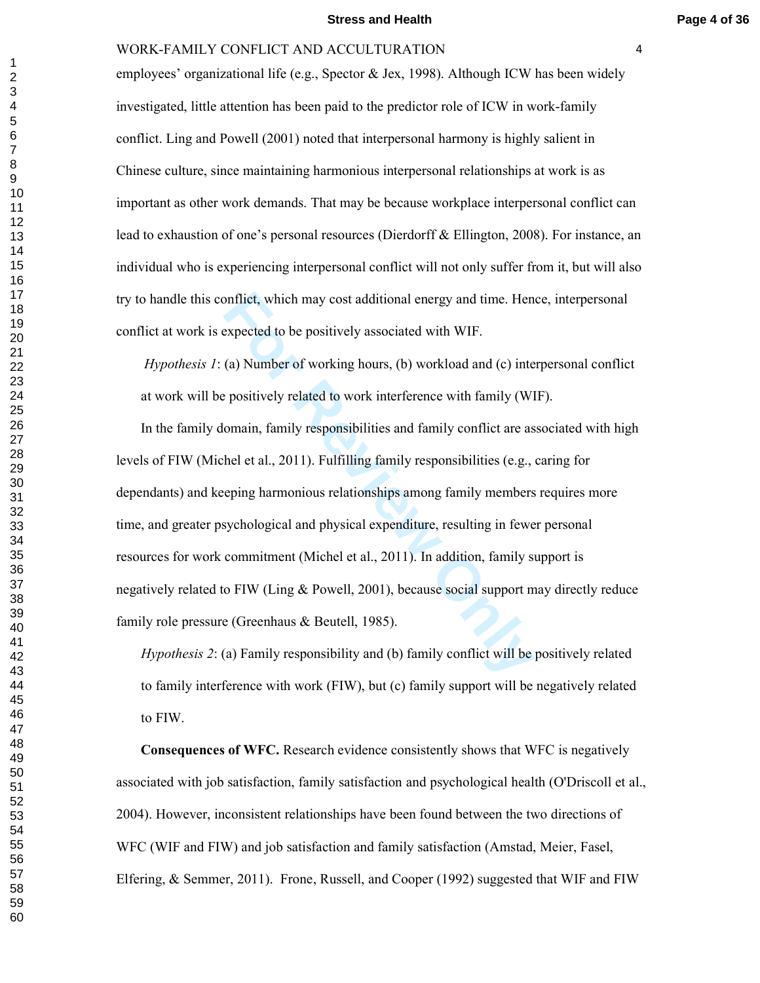#### **Stress and Health Page 4 of 36**

#### WORK-FAMILY CONFLICT AND ACCULTURATION

employees' organizational life (e.g., Spector & Jex, 1998). Although ICW has been widely investigated, little attention has been paid to the predictor role of ICW in work-family conflict. Ling and Powell (2001) noted that interpersonal harmony is highly salient in Chinese culture, since maintaining harmonious interpersonal relationships at work is as important as other work demands. That may be because workplace interpersonal conflict can lead to exhaustion of one's personal resources (Dierdorff & Ellington, 2008). For instance, an individual who is experiencing interpersonal conflict will not only suffer from it, but will also try to handle this conflict, which may cost additional energy and time. Hence, interpersonal conflict at work is expected to be positively associated with WIF.

*Hypothesis 1*: (a) Number of working hours, (b) workload and (c) interpersonal conflict at work will be positively related to work interference with family (WIF).

onflict, which may cost additional energy and time. Hen expected to be positively associated with WIF.<br>
(a) Number of working hours, (b) workload and (c) interpositively related to work interference with family (WI omain, In the family domain, family responsibilities and family conflict are associated with high levels of FIW (Michel et al., 2011). Fulfilling family responsibilities (e.g., caring for dependants) and keeping harmonious relationships among family members requires more time, and greater psychological and physical expenditure, resulting in fewer personal resources for work commitment (Michel et al., 2011). In addition, family support is negatively related to FIW (Ling & Powell, 2001), because social support may directly reduce family role pressure (Greenhaus & Beutell, 1985).

*Hypothesis 2*: (a) Family responsibility and (b) family conflict will be positively related to family interference with work (FIW), but (c) family support will be negatively related to FIW.

 **Consequences of WFC.** Research evidence consistently shows that WFC is negatively associated with job satisfaction, family satisfaction and psychological health (O'Driscoll et al., 2004). However, inconsistent relationships have been found between the two directions of WFC (WIF and FIW) and job satisfaction and family satisfaction (Amstad, Meier, Fasel, Elfering, & Semmer, 2011). Frone, Russell, and Cooper (1992) suggested that WIF and FIW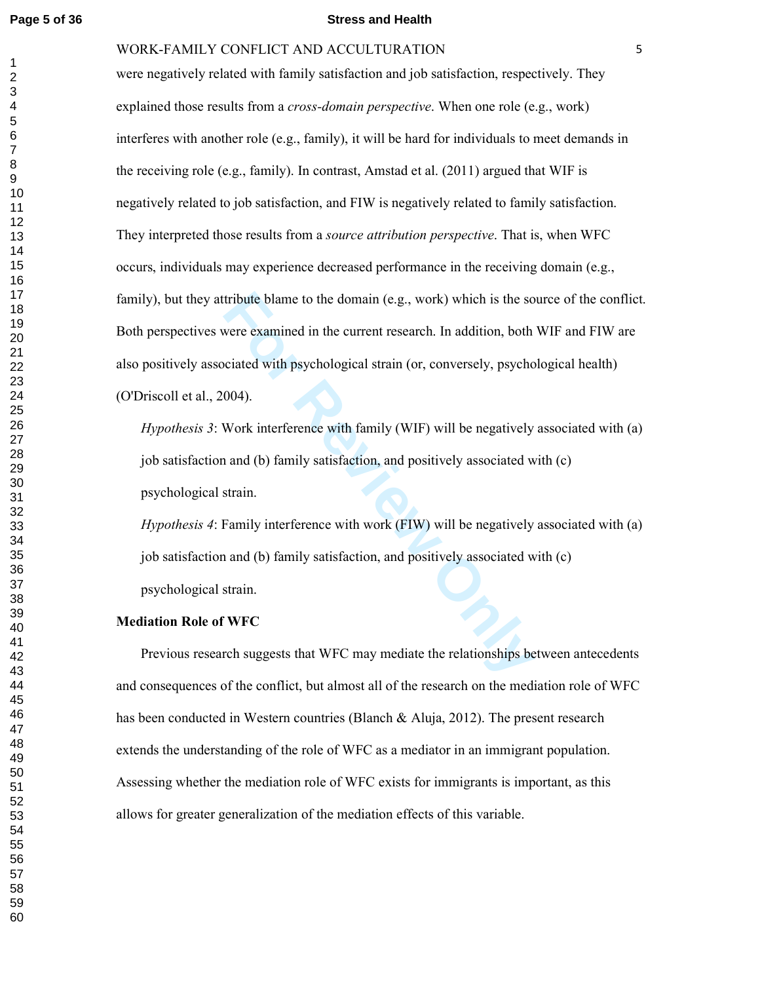#### **Page 5 of 36 Stress and Health**

## WORK-FAMILY CONFLICT AND ACCULTURATION

tribute blame to the domain (e.g., work) which is the so<br>vere examined in the current research. In addition, both<br>ciated with psychological strain (or, conversely, psycho<br>004).<br>Work interference with family (WIF) will be n were negatively related with family satisfaction and job satisfaction, respectively. They explained those results from a *cross-domain perspective*. When one role (e.g., work) interferes with another role (e.g., family), it will be hard for individuals to meet demands in the receiving role (e.g., family). In contrast, Amstad et al.  $(2011)$  argued that WIF is negatively related to job satisfaction, and FIW is negatively related to family satisfaction. They interpreted those results from a *source attribution perspective*. That is, when WFC occurs, individuals may experience decreased performance in the receiving domain (e.g., family), but they attribute blame to the domain (e.g., work) which is the source of the conflict. Both perspectives were examined in the current research. In addition, both WIF and FIW are also positively associated with psychological strain (or, conversely, psychological health) (O'Driscoll et al., 2004).

*Hypothesis 3*: Work interference with family (WIF) will be negatively associated with (a) job satisfaction and (b) family satisfaction, and positively associated with (c) psychological strain.

*Hypothesis 4*: Family interference with work (FIW) will be negatively associated with (a) job satisfaction and (b) family satisfaction, and positively associated with (c) psychological strain.

#### **Mediation Role of WFC**

 Previous research suggests that WFC may mediate the relationships between antecedents and consequences of the conflict, but almost all of the research on the mediation role of WFC has been conducted in Western countries (Blanch & Aluja, 2012). The present research extends the understanding of the role of WFC as a mediator in an immigrant population. Assessing whether the mediation role of WFC exists for immigrants is important, as this allows for greater generalization of the mediation effects of this variable.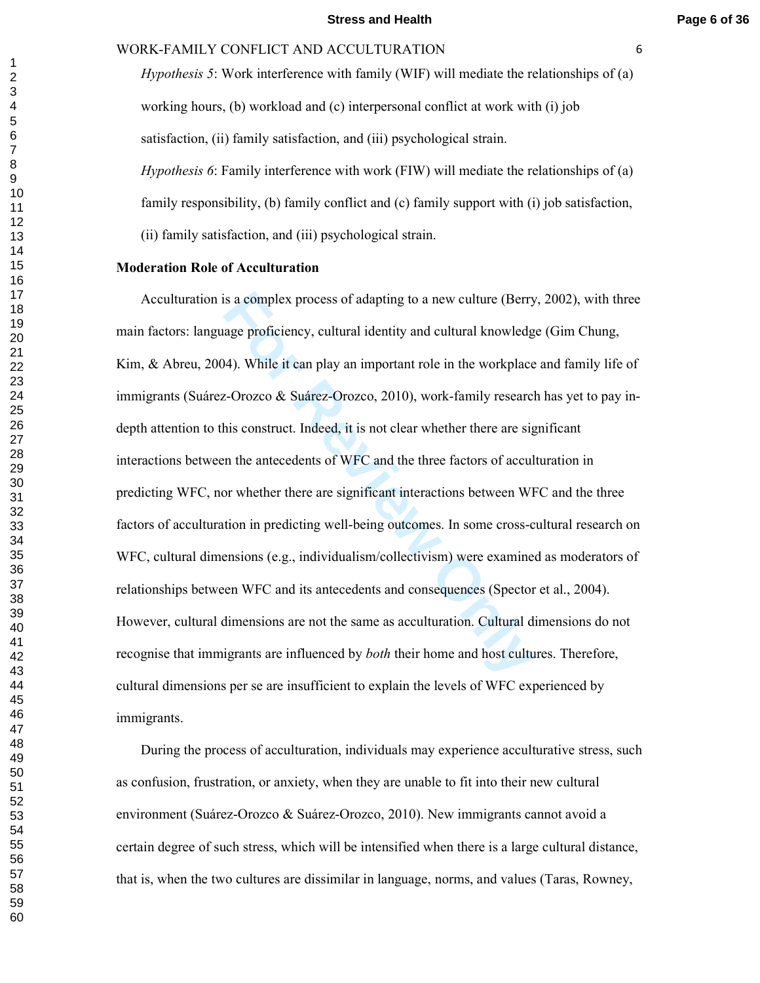*Hypothesis 5*: Work interference with family (WIF) will mediate the relationships of (a) working hours, (b) workload and (c) interpersonal conflict at work with (i) job satisfaction, (ii) family satisfaction, and (iii) psychological strain. *Hypothesis 6*: Family interference with work (FIW) will mediate the relationships of (a) family responsibility, (b) family conflict and (c) family support with (i) job satisfaction,

(ii) family satisfaction, and (iii) psychological strain.

## **Moderation Role of Acculturation**

is a complex process of adapting to a new culture (Berry<br>age proficiency, cultural identity and cultural knowledg<br>44). While it can play an important role in the workplace<br>z-Orozco & Suárez-Orozco, 2010), work-family resea Acculturation is a complex process of adapting to a new culture (Berry, 2002), with three main factors: language proficiency, cultural identity and cultural knowledge (Gim Chung, Kim, & Abreu, 2004). While it can play an important role in the workplace and family life of immigrants (Suárez-Orozco & Suárez-Orozco, 2010), work-family research has yet to pay indepth attention to this construct. Indeed, it is not clear whether there are significant interactions between the antecedents of WFC and the three factors of acculturation in predicting WFC, nor whether there are significant interactions between WFC and the three factors of acculturation in predicting well-being outcomes. In some cross-cultural research on WFC, cultural dimensions (e.g., individualism/collectivism) were examined as moderators of relationships between WFC and its antecedents and consequences (Spector et al., 2004). However, cultural dimensions are not the same as acculturation. Cultural dimensions do not recognise that immigrants are influenced by *both* their home and host cultures. Therefore, cultural dimensions per se are insufficient to explain the levels of WFC experienced by immigrants.

 During the process of acculturation, individuals may experience acculturative stress, such as confusion, frustration, or anxiety, when they are unable to fit into their new cultural environment (Suárez-Orozco & Suárez-Orozco, 2010). New immigrants cannot avoid a certain degree of such stress, which will be intensified when there is a large cultural distance, that is, when the two cultures are dissimilar in language, norms, and values (Taras, Rowney,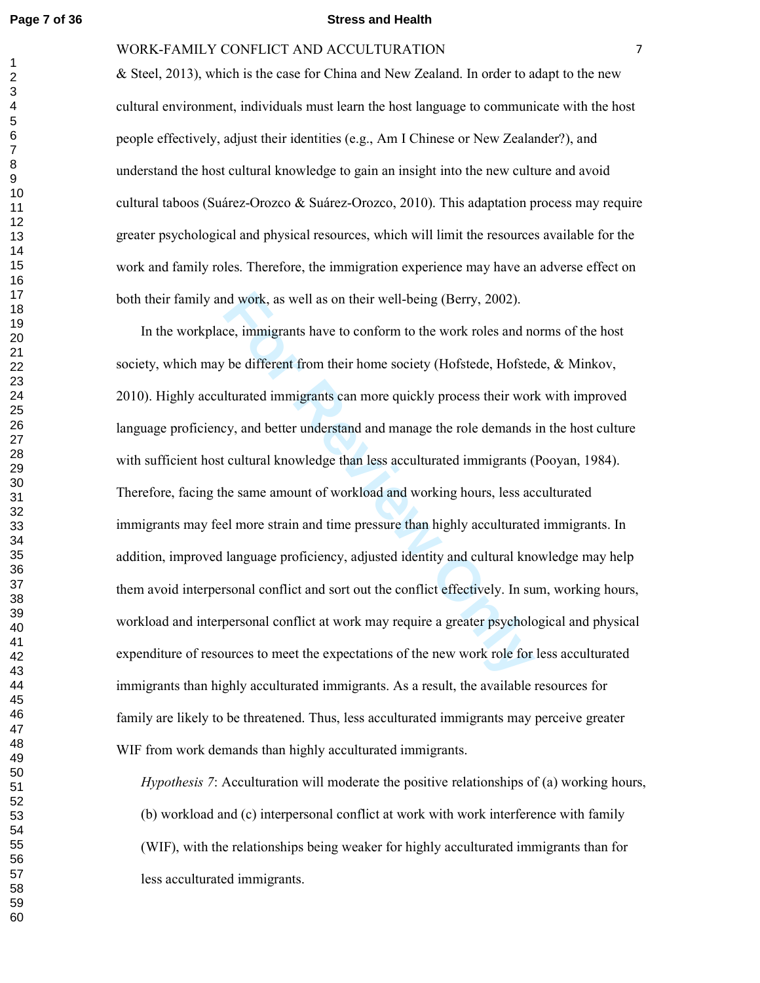#### **Page 7 of 36 Stress and Health**

## WORK-FAMILY CONFLICT AND ACCULTURATION

& Steel, 2013), which is the case for China and New Zealand. In order to adapt to the new cultural environment, individuals must learn the host language to communicate with the host people effectively, adjust their identities (e.g., Am I Chinese or New Zealander?), and understand the host cultural knowledge to gain an insight into the new culture and avoid cultural taboos (Suárez-Orozco & Suárez-Orozco, 2010). This adaptation process may require greater psychological and physical resources, which will limit the resources available for the work and family roles. Therefore, the immigration experience may have an adverse effect on both their family and work, as well as on their well-being (Berry, 2002).

nd work, as well as on their well-being (Berry, 2002).<br>
Ee, immigrants have to conform to the work roles and no<br>
the different from their home society (Hofstede, Hofsted<br>
Iturated immigrants can more quickly process their In the workplace, immigrants have to conform to the work roles and norms of the host society, which may be different from their home society (Hofstede, Hofstede, & Minkov, 2010). Highly acculturated immigrants can more quickly process their work with improved language proficiency, and better understand and manage the role demands in the host culture with sufficient host cultural knowledge than less acculturated immigrants (Pooyan, 1984). Therefore, facing the same amount of workload and working hours, less acculturated immigrants may feel more strain and time pressure than highly acculturated immigrants. In addition, improved language proficiency, adjusted identity and cultural knowledge may help them avoid interpersonal conflict and sort out the conflict effectively. In sum, working hours, workload and interpersonal conflict at work may require a greater psychological and physical expenditure of resources to meet the expectations of the new work role for less acculturated immigrants than highly acculturated immigrants. As a result, the available resources for family are likely to be threatened. Thus, less acculturated immigrants may perceive greater WIF from work demands than highly acculturated immigrants.

*Hypothesis 7*: Acculturation will moderate the positive relationships of (a) working hours, (b) workload and (c) interpersonal conflict at work with work interference with family (WIF), with the relationships being weaker for highly acculturated immigrants than for less acculturated immigrants.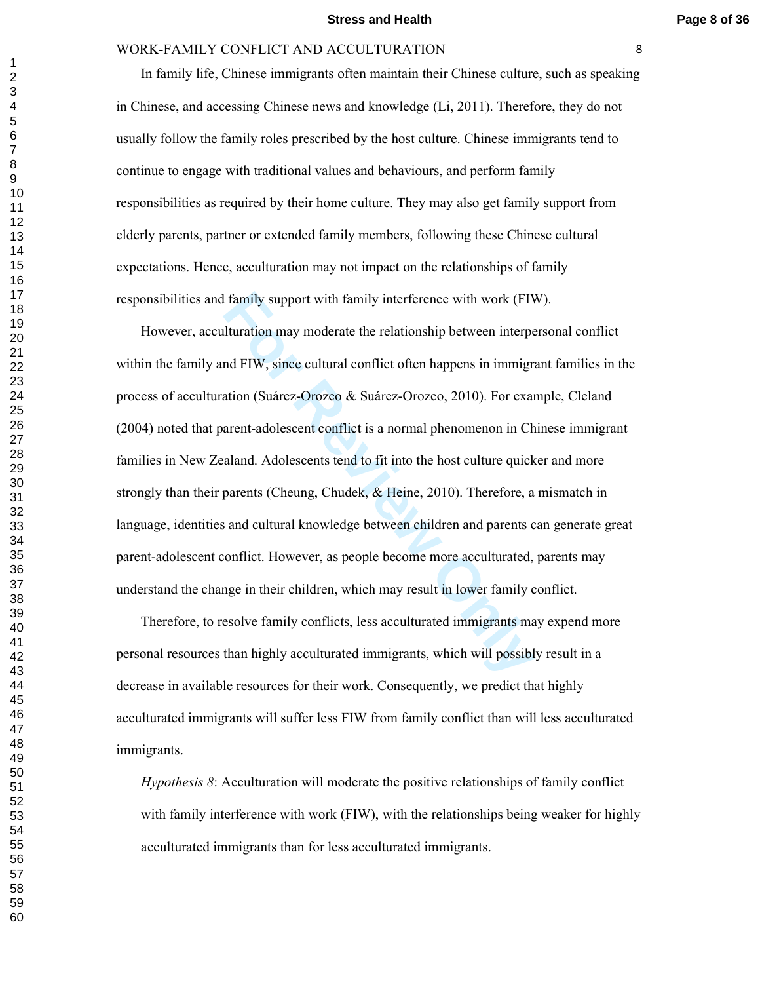In family life, Chinese immigrants often maintain their Chinese culture, such as speaking in Chinese, and accessing Chinese news and knowledge (Li, 2011). Therefore, they do not usually follow the family roles prescribed by the host culture. Chinese immigrants tend to continue to engage with traditional values and behaviours, and perform family responsibilities as required by their home culture. They may also get family support from elderly parents, partner or extended family members, following these Chinese cultural expectations. Hence, acculturation may not impact on the relationships of family responsibilities and family support with family interference with work (FIW).

family support with family interference with work (FIV<br>Ilturation may moderate the relationship between interpend FIW, since cultural conflict often happens in immigre<br>ation (Suárez-Orozco & Suárez-Orozco, 2010). For exame However, acculturation may moderate the relationship between interpersonal conflict within the family and FIW, since cultural conflict often happens in immigrant families in the process of acculturation (Suárez-Orozco & Suárez-Orozco, 2010). For example, Cleland (2004) noted that parent-adolescent conflict is a normal phenomenon in Chinese immigrant families in New Zealand. Adolescents tend to fit into the host culture quicker and more strongly than their parents (Cheung, Chudek, & Heine, 2010). Therefore, a mismatch in language, identities and cultural knowledge between children and parents can generate great parent-adolescent conflict. However, as people become more acculturated, parents may understand the change in their children, which may result in lower family conflict.

 Therefore, to resolve family conflicts, less acculturated immigrants may expend more personal resources than highly acculturated immigrants, which will possibly result in a decrease in available resources for their work. Consequently, we predict that highly acculturated immigrants will suffer less FIW from family conflict than will less acculturated immigrants.

*Hypothesis 8*: Acculturation will moderate the positive relationships of family conflict with family interference with work (FIW), with the relationships being weaker for highly acculturated immigrants than for less acculturated immigrants.

 $\mathbf{1}$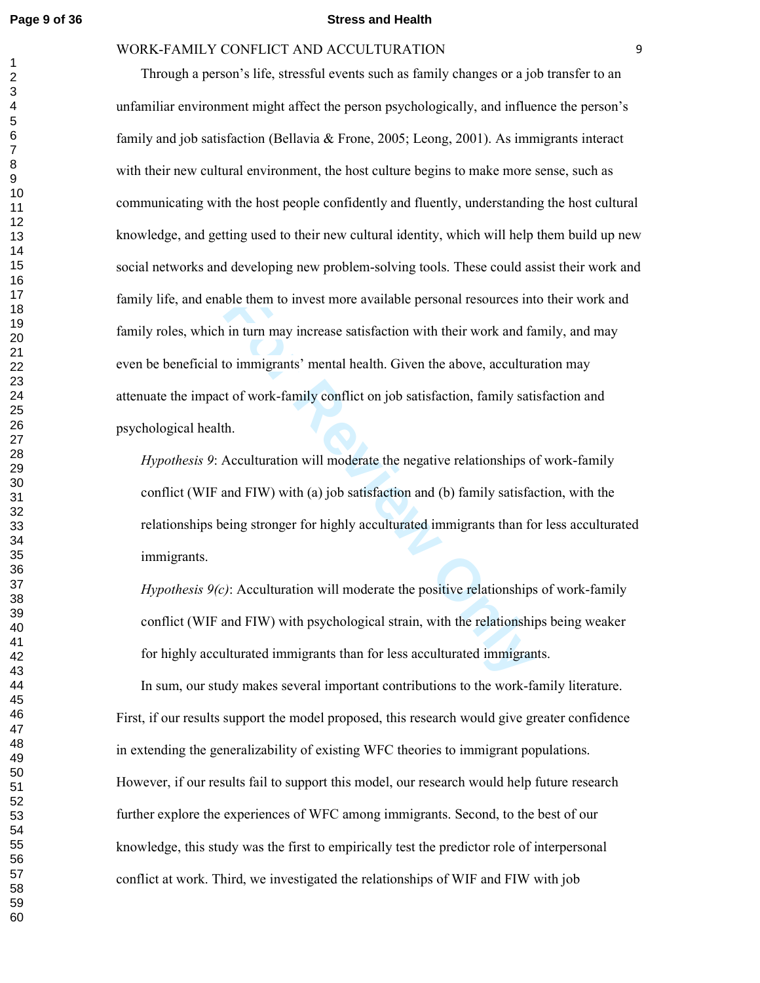#### **Page 9 of 36 Stress and Health**

## WORK-FAMILY CONFLICT AND ACCULTURATION

ble them to invest more available personal resources int<br>in turn may increase satisfaction with their work and fa<br>to immigrants' mental health. Given the above, accultur<br>at of work-family conflict on job satisfaction, fami Through a person's life, stressful events such as family changes or a job transfer to an unfamiliar environment might affect the person psychologically, and influence the person's family and job satisfaction (Bellavia & Frone, 2005; Leong, 2001). As immigrants interact with their new cultural environment, the host culture begins to make more sense, such as communicating with the host people confidently and fluently, understanding the host cultural knowledge, and getting used to their new cultural identity, which will help them build up new social networks and developing new problem-solving tools. These could assist their work and family life, and enable them to invest more available personal resources into their work and family roles, which in turn may increase satisfaction with their work and family, and may even be beneficial to immigrants' mental health. Given the above, acculturation may attenuate the impact of work-family conflict on job satisfaction, family satisfaction and psychological health.

*Hypothesis 9*: Acculturation will moderate the negative relationships of work-family conflict (WIF and FIW) with (a) job satisfaction and (b) family satisfaction, with the relationships being stronger for highly acculturated immigrants than for less acculturated immigrants.

*Hypothesis 9(c)*: Acculturation will moderate the positive relationships of work-family conflict (WIF and FIW) with psychological strain, with the relationships being weaker for highly acculturated immigrants than for less acculturated immigrants.

 In sum, our study makes several important contributions to the work-family literature. First, if our results support the model proposed, this research would give greater confidence in extending the generalizability of existing WFC theories to immigrant populations. However, if our results fail to support this model, our research would help future research further explore the experiences of WFC among immigrants. Second, to the best of our knowledge, this study was the first to empirically test the predictor role of interpersonal conflict at work. Third, we investigated the relationships of WIF and FIW with job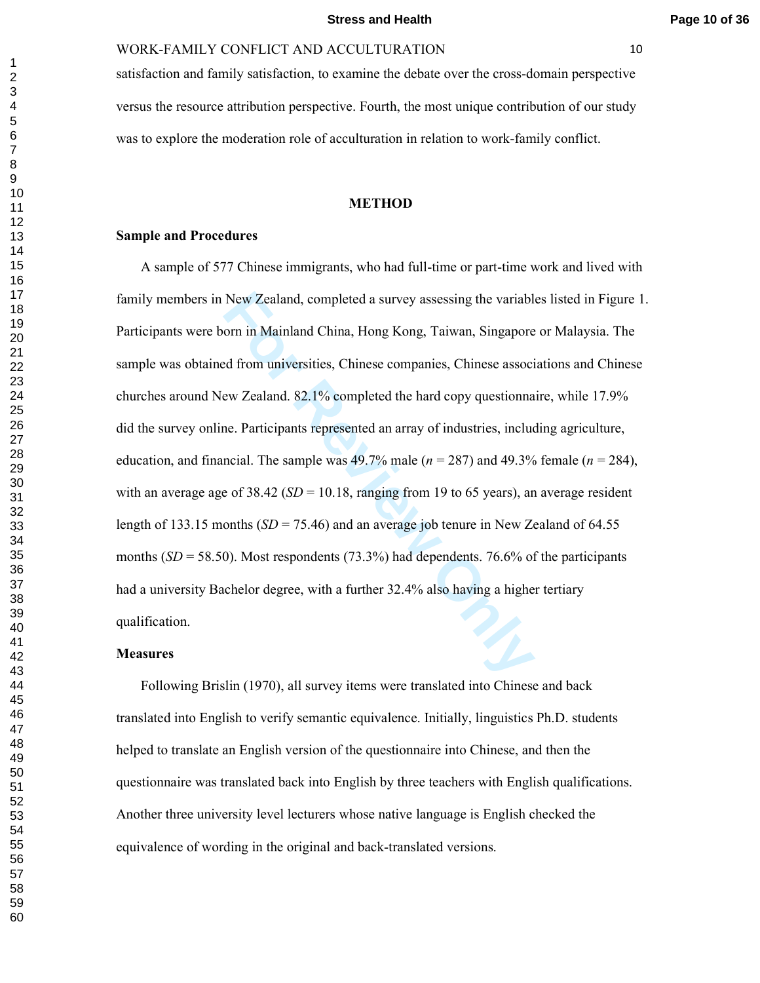satisfaction and family satisfaction, to examine the debate over the cross-domain perspective versus the resource attribution perspective. Fourth, the most unique contribution of our study was to explore the moderation role of acculturation in relation to work-family conflict.

#### **METHOD**

## **Sample and Procedures**

New Zealand, completed a survey assessing the variable orn in Mainland China, Hong Kong, Taiwan, Singapore and from universities, Chinese companies, Chinese associeve Zealand. 82.1% completed the hard copy questionna ince A sample of 577 Chinese immigrants, who had full-time or part-time work and lived with family members in New Zealand, completed a survey assessing the variables listed in Figure 1. Participants were born in Mainland China, Hong Kong, Taiwan, Singapore or Malaysia. The sample was obtained from universities, Chinese companies, Chinese associations and Chinese churches around New Zealand. 82.1% completed the hard copy questionnaire, while 17.9% did the survey online. Participants represented an array of industries, including agriculture, education, and financial. The sample was  $49.7\%$  male ( $n = 287$ ) and  $49.3\%$  female ( $n = 284$ ), with an average age of 38.42 ( $SD = 10.18$ , ranging from 19 to 65 years), an average resident length of 133.15 months  $(SD = 75.46)$  and an average job tenure in New Zealand of 64.55 months  $(SD = 58.50)$ . Most respondents  $(73.3\%)$  had dependents. 76.6% of the participants had a university Bachelor degree, with a further 32.4% also having a higher tertiary qualification.

## **Measures**

 Following Brislin (1970), all survey items were translated into Chinese and back translated into English to verify semantic equivalence. Initially, linguistics Ph.D. students helped to translate an English version of the questionnaire into Chinese, and then the questionnaire was translated back into English by three teachers with English qualifications. Another three university level lecturers whose native language is English checked the equivalence of wording in the original and back-translated versions.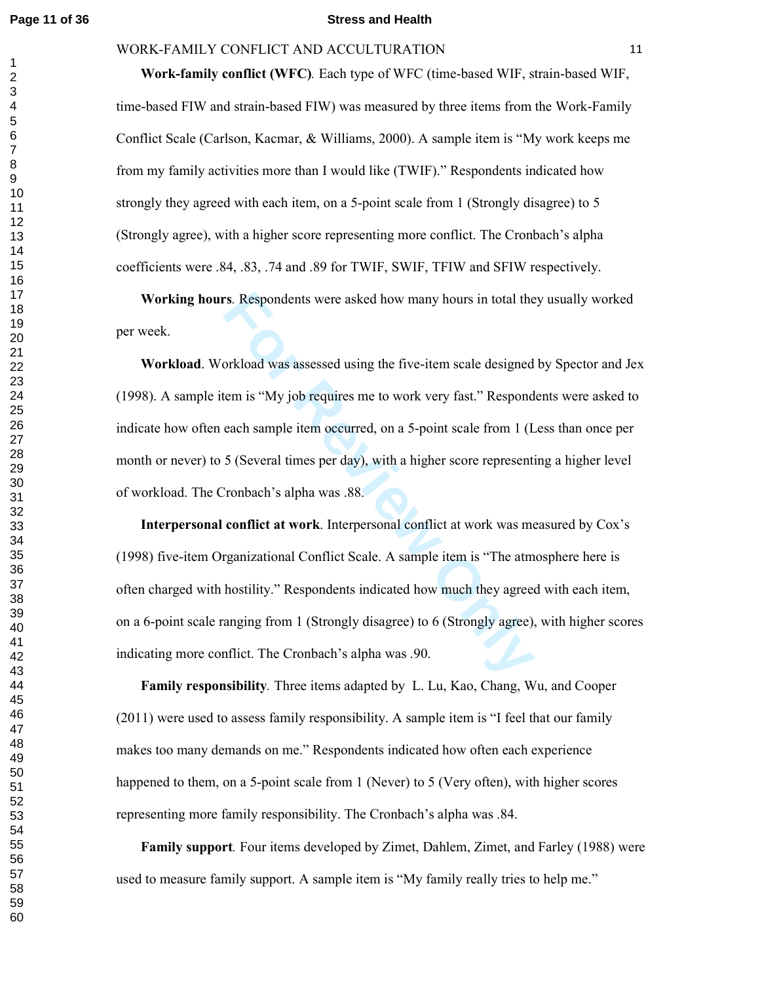#### **Page 11 of 36 Stress and Health**

## WORK-FAMILY CONFLICT AND ACCULTURATION 11

 **Work-family conflict (WFC)***.* Each type of WFC (time-based WIF, strain-based WIF, time-based FIW and strain-based FIW) was measured by three items from the Work-Family Conflict Scale (Carlson, Kacmar, & Williams, 2000). A sample item is "My work keeps me from my family activities more than I would like (TWIF)." Respondents indicated how strongly they agreed with each item, on a 5-point scale from 1 (Strongly disagree) to 5 (Strongly agree), with a higher score representing more conflict. The Cronbach's alpha coefficients were .84, .83, .74 and .89 for TWIF, SWIF, TFIW and SFIW respectively.

 **Working hours***.* Respondents were asked how many hours in total they usually worked per week.

**For Respondents were asked how many hours in total the**<br>
Solution of the set of the set of the set of the set of the set of the set of the set of the set of the set of<br>
Solution is "My job requires me to work very fast."  **Workload**. Workload was assessed using the five-item scale designed by Spector and Jex (1998). A sample item is "My job requires me to work very fast." Respondents were asked to indicate how often each sample item occurred, on a 5-point scale from 1 (Less than once per month or never) to 5 (Several times per day), with a higher score representing a higher level of workload. The Cronbach's alpha was .88.

 **Interpersonal conflict at work**. Interpersonal conflict at work was measured by Cox's (1998) five-item Organizational Conflict Scale. A sample item is "The atmosphere here is often charged with hostility." Respondents indicated how much they agreed with each item, on a 6-point scale ranging from 1 (Strongly disagree) to 6 (Strongly agree), with higher scores indicating more conflict. The Cronbach's alpha was .90.

 **Family responsibility***.* Three items adapted by L. Lu, Kao, Chang, Wu, and Cooper (2011) were used to assess family responsibility. A sample item is "I feel that our family makes too many demands on me." Respondents indicated how often each experience happened to them, on a 5-point scale from 1 (Never) to 5 (Very often), with higher scores representing more family responsibility. The Cronbach's alpha was .84.

 **Family support***.* Four items developed by Zimet, Dahlem, Zimet, and Farley (1988) were used to measure family support. A sample item is "My family really tries to help me."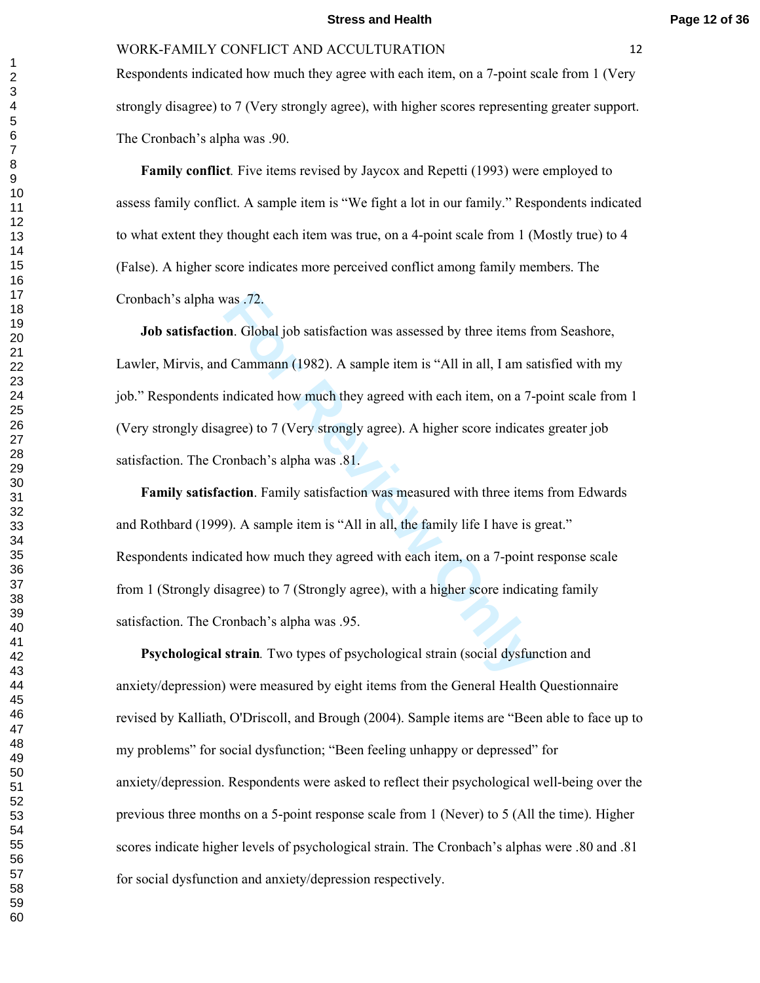Respondents indicated how much they agree with each item, on a 7-point scale from 1 (Very strongly disagree) to 7 (Very strongly agree), with higher scores representing greater support. The Cronbach's alpha was .90.

 **Family conflict***.* Five items revised by Jaycox and Repetti (1993) were employed to assess family conflict. A sample item is "We fight a lot in our family." Respondents indicated to what extent they thought each item was true, on a 4-point scale from 1 (Mostly true) to 4 (False). A higher score indicates more perceived conflict among family members. The Cronbach's alpha was .72.

vas .72.<br> **For Review 10** Satisfaction was assessed by three items f<br> **Example 100** Satisfaction was assessed by three items f<br> **For Review 10** Cammann (1982). A sample item is "All in all, I am sa<br>
indicated how much they  **Job satisfaction**. Global job satisfaction was assessed by three items from Seashore, Lawler, Mirvis, and Cammann (1982). A sample item is "All in all, I am satisfied with my job." Respondents indicated how much they agreed with each item, on a 7-point scale from 1 (Very strongly disagree) to 7 (Very strongly agree). A higher score indicates greater job satisfaction. The Cronbach's alpha was .81.

 **Family satisfaction**. Family satisfaction was measured with three items from Edwards and Rothbard (1999). A sample item is "All in all, the family life I have is great." Respondents indicated how much they agreed with each item, on a 7-point response scale from 1 (Strongly disagree) to 7 (Strongly agree), with a higher score indicating family satisfaction. The Cronbach's alpha was .95.

 **Psychological strain***.* Two types of psychological strain (social dysfunction and anxiety/depression) were measured by eight items from the General Health Questionnaire revised by Kalliath, O'Driscoll, and Brough (2004). Sample items are "Been able to face up to my problems" for social dysfunction; "Been feeling unhappy or depressed" for anxiety/depression. Respondents were asked to reflect their psychological well-being over the previous three months on a 5-point response scale from 1 (Never) to 5 (All the time). Higher scores indicate higher levels of psychological strain. The Cronbach's alphas were .80 and .81 for social dysfunction and anxiety/depression respectively.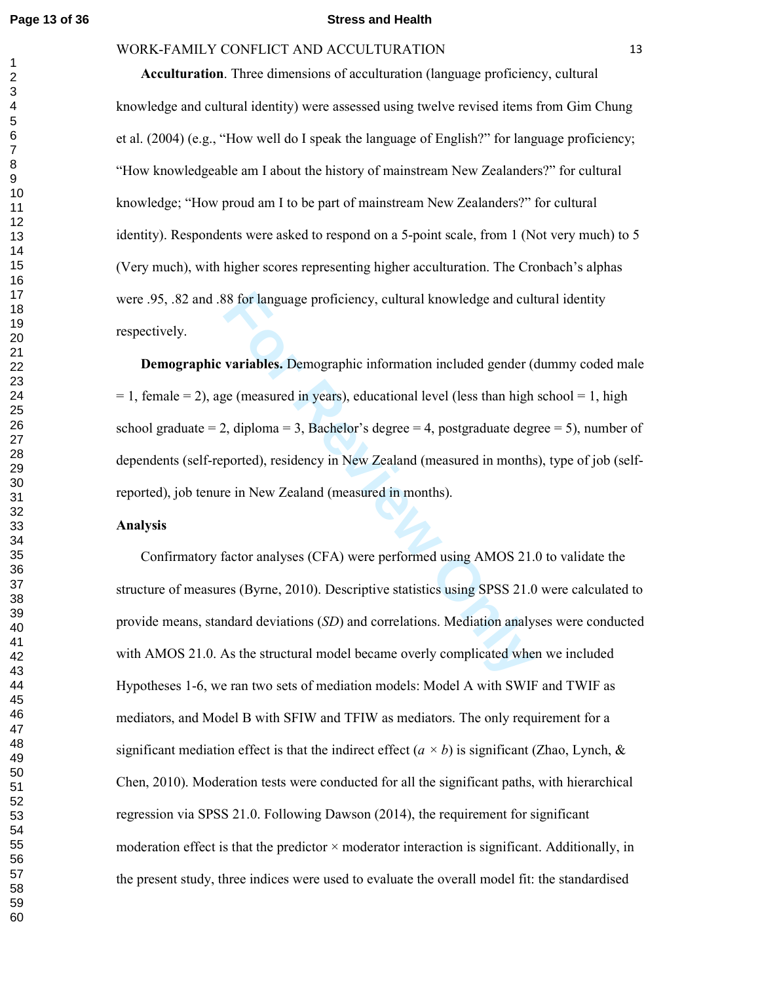#### **Page 13 of 36 Stress and Health**

## WORK-FAMILY CONFLICT AND ACCULTURATION 13

 **Acculturation**. Three dimensions of acculturation (language proficiency, cultural knowledge and cultural identity) were assessed using twelve revised items from Gim Chung et al. (2004) (e.g., "How well do I speak the language of English?" for language proficiency; "How knowledgeable am I about the history of mainstream New Zealanders?" for cultural knowledge; "How proud am I to be part of mainstream New Zealanders?" for cultural identity). Respondents were asked to respond on a 5-point scale, from 1 (Not very much) to 5 (Very much), with higher scores representing higher acculturation. The Cronbach's alphas were .95, .82 and .88 for language proficiency, cultural knowledge and cultural identity respectively.

88 for language proficiency, cultural knowledge and cult<br> **variables.** Demographic information included gender (e<br>
ge (measured in years), educational level (less than high<br>
2, diploma = 3, Bachelor's degree = 4, postgradu  **Demographic variables.** Demographic information included gender (dummy coded male  $= 1$ , female  $= 2$ ), age (measured in years), educational level (less than high school  $= 1$ , high school graduate  $= 2$ , diploma  $= 3$ , Bachelor's degree  $= 4$ , postgraduate degree  $= 5$ ), number of dependents (self-reported), residency in New Zealand (measured in months), type of job (selfreported), job tenure in New Zealand (measured in months).

## **Analysis**

 Confirmatory factor analyses (CFA) were performed using AMOS 21.0 to validate the structure of measures (Byrne, 2010). Descriptive statistics using SPSS 21.0 were calculated to provide means, standard deviations (*SD*) and correlations. Mediation analyses were conducted with AMOS 21.0. As the structural model became overly complicated when we included Hypotheses 1-6, we ran two sets of mediation models: Model A with SWIF and TWIF as mediators, and Model B with SFIW and TFIW as mediators. The only requirement for a significant mediation effect is that the indirect effect  $(a \times b)$  is significant (Zhao, Lynch,  $\&$ Chen, 2010). Moderation tests were conducted for all the significant paths, with hierarchical regression via SPSS 21.0. Following Dawson (2014), the requirement for significant moderation effect is that the predictor  $\times$  moderator interaction is significant. Additionally, in the present study, three indices were used to evaluate the overall model fit: the standardised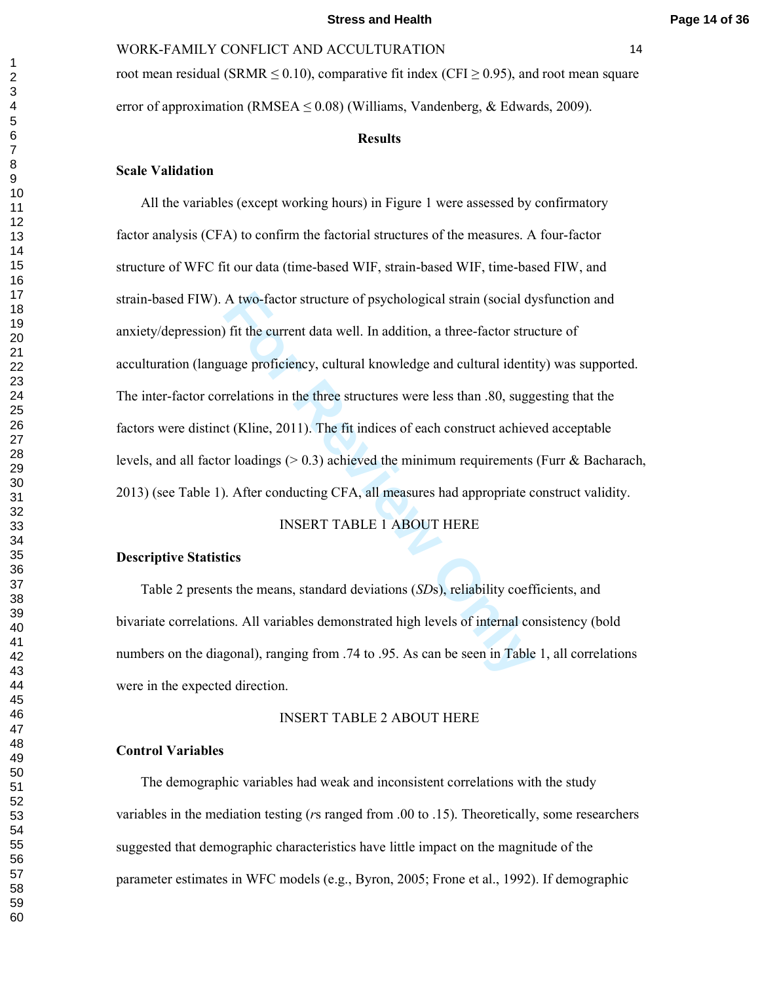root mean residual (SRMR  $\leq$  0.10), comparative fit index (CFI  $\geq$  0.95), and root mean square error of approximation (RMSEA  $\leq$  0.08) (Williams, Vandenberg, & Edwards, 2009).

#### **Results**

## **Scale Validation**

A two-factor structure of psychological strain (social dy) fit the current data well. In addition, a three-factor stru uage proficiency, cultural knowledge and cultural identifierdations in the three structures were less t All the variables (except working hours) in Figure 1 were assessed by confirmatory factor analysis (CFA) to confirm the factorial structures of the measures. A four-factor structure of WFC fit our data (time-based WIF, strain-based WIF, time-based FIW, and strain-based FIW). A two-factor structure of psychological strain (social dysfunction and anxiety/depression) fit the current data well. In addition, a three-factor structure of acculturation (language proficiency, cultural knowledge and cultural identity) was supported. The inter-factor correlations in the three structures were less than .80, suggesting that the factors were distinct (Kline, 2011). The fit indices of each construct achieved acceptable levels, and all factor loadings  $(0.3)$  achieved the minimum requirements (Furr & Bacharach, 2013) (see Table 1). After conducting CFA, all measures had appropriate construct validity.

## INSERT TABLE 1 ABOUT HERE

## **Descriptive Statistics**

 Table 2 presents the means, standard deviations (*SD*s), reliability coefficients, and bivariate correlations. All variables demonstrated high levels of internal consistency (bold numbers on the diagonal), ranging from .74 to .95. As can be seen in Table 1, all correlations were in the expected direction.

#### INSERT TABLE 2 ABOUT HERE

## **Control Variables**

 The demographic variables had weak and inconsistent correlations with the study variables in the mediation testing ( *r*s ranged from .00 to .15). Theoretically, some researchers suggested that demographic characteristics have little impact on the magnitude of the parameter estimates in WFC models (e.g., Byron, 2005; Frone et al., 1992). If demographic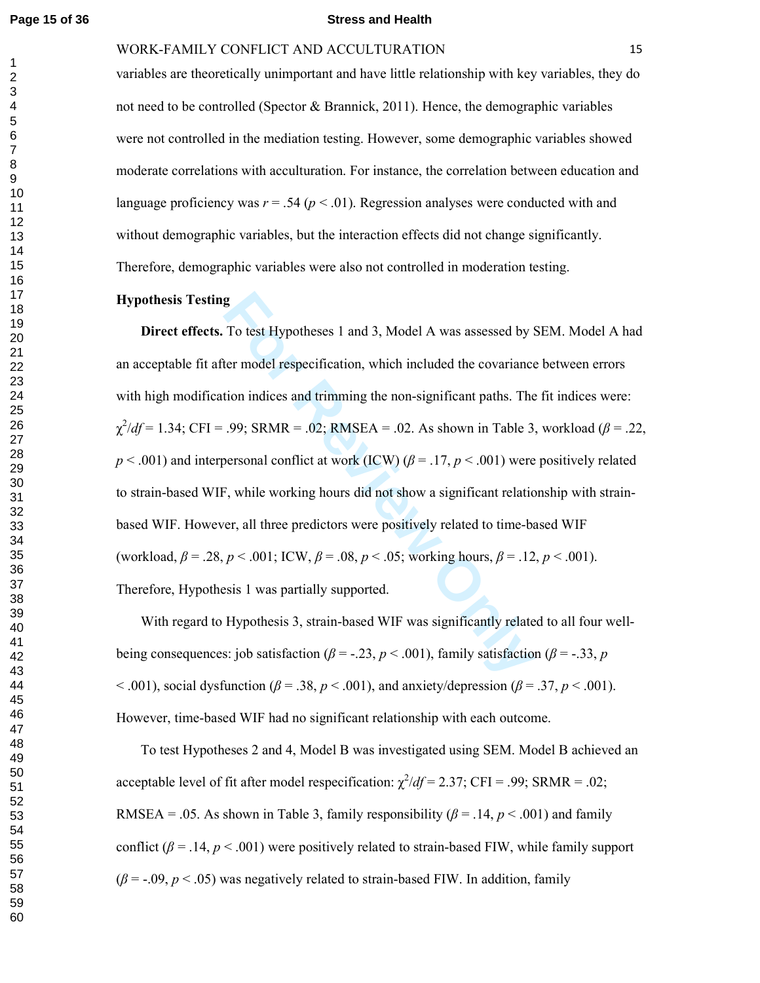#### **Page 15 of 36 Stress and Health**

## WORK-FAMILY CONFLICT AND ACCULTURATION 15

variables are theoretically unimportant and have little relationship with key variables, they do not need to be controlled (Spector  $\&$  Brannick, 2011). Hence, the demographic variables were not controlled in the mediation testing. However, some demographic variables showed moderate correlations with acculturation. For instance, the correlation between education and language proficiency was  $r = 0.54$  ( $p < 0.01$ ). Regression analyses were conducted with and without demographic variables, but the interaction effects did not change significantly. Therefore, demographic variables were also not controlled in moderation testing.

## **Hypothesis Testing**

**Formularity Eq. 31** and 3, Model A was assessed by the model respecification, which included the covariance tion indices and trimming the non-significant paths. The .99; SRMR = .02; RMSEA = .02. As shown in Table 3 berso **Direct effects.** To test Hypotheses 1 and 3, Model A was assessed by SEM. Model A had an acceptable fit after model respecification, which included the covariance between errors with high modification indices and trimming the non-significant paths. The fit indices were:<br> $\chi^2/df = 1.34$ ; CFI = .99; SRMR = .02; RMSEA = .02. As shown in Table 3, workload ( $\beta$  = .22,  $p < .001$ ) and interpersonal conflict at work (ICW) ( $\beta = .17$ ,  $p < .001$ ) were positively related to strain-based WIF, while working hours did not show a significant relationship with strainbased WIF. However, all three predictors were positively related to time-based WIF (workload,  $\beta = .28$ ,  $p < .001$ ; ICW,  $\beta = .08$ ,  $p < .05$ ; working hours,  $\beta = .12$ ,  $p < .001$ ). Therefore, Hypothesis 1 was partially supported.

 With regard to Hypothesis 3, strain-based WIF was significantly related to all four wellbeing consequences: job satisfaction ( $\beta$  = -.23,  $p$  < .001), family satisfaction ( $\beta$  = -.33,  $p$ )  $\leq$  .001), social dysfunction ( $\beta$  = .38,  $p \leq$  .001), and anxiety/depression ( $\beta$  = .37,  $p \leq$  .001). However, time-based WIF had no significant relationship with each outcome.

 To test Hypotheses 2 and 4, Model B was investigated using SEM. Model B achieved an acceptable level of fit after model respecification:  $\chi^2/df = 2.37$ ; CFI = .99; SRMR = .02; RMSEA = .05. As shown in Table 3, family responsibility ( $\beta$  = .14,  $p$  < .001) and family conflict  $(\beta = .14, p < .001)$  were positively related to strain-based FIW, while family support  $(\beta = -0.09, p < 0.05)$  was negatively related to strain-based FIW. In addition, family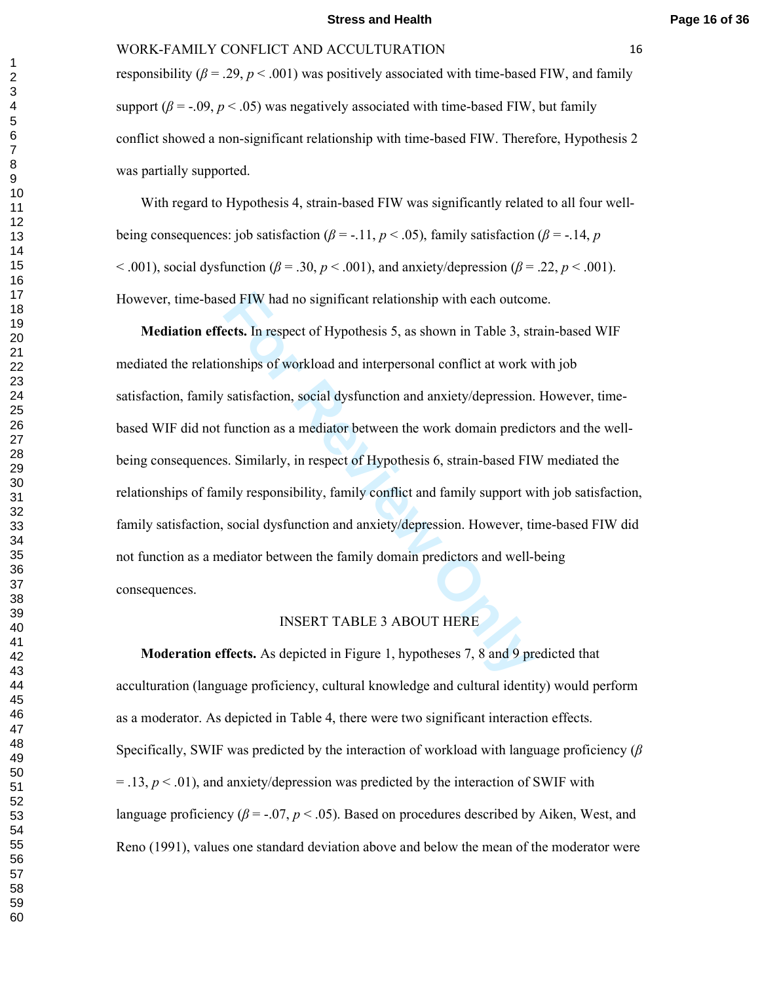#### **Stress and Health Page 16 of 36**

#### WORK-FAMILY CONFLICT AND ACCULTURATION 16

responsibility ( $\beta$  = .29,  $p$  < .001) was positively associated with time-based FIW, and family support  $(\beta = -0.09, p < 0.05)$  was negatively associated with time-based FIW, but family conflict showed a non-significant relationship with time-based FIW. Therefore, Hypothesis 2 was partially supported.

 With regard to Hypothesis 4, strain-based FIW was significantly related to all four wellbeing consequences: job satisfaction ( $\beta$  = -.11, *p* < .05), family satisfaction ( $\beta$  = -.14, *p*  $\leq$  .001), social dysfunction ( $\beta$  = .30,  $p$   $\leq$  .001), and anxiety/depression ( $\beta$  = .22,  $p$   $\leq$  .001). However, time-based FIW had no significant relationship with each outcome.

red FIW had no significant relationship with each outcomets. In respect of Hypothesis 5, as shown in Table 3, st<br>onships of workload and interpersonal conflict at work v<br>satisfaction, social dysfunction and anxiety/depress **Mediation effects.** In respect of Hypothesis 5, as shown in Table 3, strain-based WIF mediated the relationships of workload and interpersonal conflict at work with job satisfaction, family satisfaction, social dysfunction and anxiety/depression. However, timebased WIF did not function as a mediator between the work domain predictors and the wellbeing consequences. Similarly, in respect of Hypothesis 6, strain-based FIW mediated the relationships of family responsibility, family conflict and family support with job satisfaction, family satisfaction, social dysfunction and anxiety/depression. However, time-based FIW did not function as a mediator between the family domain predictors and well-being consequences.

## INSERT TABLE 3 ABOUT HERE

 **Moderation effects.** As depicted in Figure 1, hypotheses 7, 8 and 9 predicted that acculturation (language proficiency, cultural knowledge and cultural identity) would perform as a moderator. As depicted in Table 4, there were two significant interaction effects. Specifically, SWIF was predicted by the interaction of workload with language proficiency (*β*  $=$  .13,  $p$  < .01), and anxiety/depression was predicted by the interaction of SWIF with language proficiency  $(\beta = -0.07, p < 0.05)$ . Based on procedures described by Aiken, West, and Reno (1991), values one standard deviation above and below the mean of the moderator were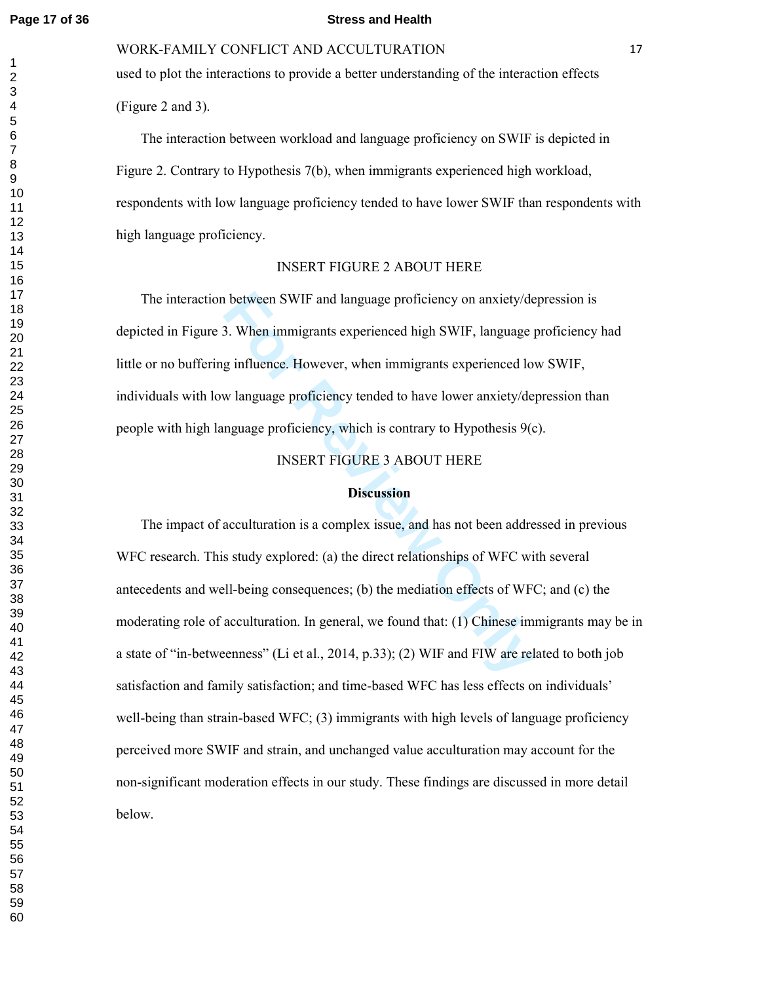#### **Page 17 of 36 Stress and Health**

WORK-FAMILY CONFLICT AND ACCULTURATION 17

used to plot the interactions to provide a better understanding of the interaction effects (Figure 2 and 3).

 The interaction between workload and language proficiency on SWIF is depicted in Figure 2. Contrary to Hypothesis 7(b), when immigrants experienced high workload, respondents with low language proficiency tended to have lower SWIF than respondents with high language proficiency.

## INSERT FIGURE 2 ABOUT HERE

 The interaction between SWIF and language proficiency on anxiety/depression is depicted in Figure 3. When immigrants experienced high SWIF, language proficiency had little or no buffering influence. However, when immigrants experienced low SWIF, individuals with low language proficiency tended to have lower anxiety/depression than people with high language proficiency, which is contrary to Hypothesis 9(c).

INSERT FIGURE 3 ABOUT HERE

## **Discussion**

**Follow SWIF and language proficiency on anxiety/de**<br> **Follow immigrants experienced high SWIF, language proficience. However, when immigrants experienced lo<br>
w language proficiency tended to have lower anxiety/de<br>
nguage**  The impact of acculturation is a complex issue, and has not been addressed in previous WFC research. This study explored: (a) the direct relationships of WFC with several antecedents and well-being consequences; (b) the mediation effects of WFC; and (c) the moderating role of acculturation. In general, we found that: (1) Chinese immigrants may be in a state of "in-betweenness" (Li et al., 2014, p.33); (2) WIF and FIW are related to both job satisfaction and family satisfaction; and time-based WFC has less effects on individuals' well-being than strain-based WFC; (3) immigrants with high levels of language proficiency perceived more SWIF and strain, and unchanged value acculturation may account for the non-significant moderation effects in our study. These findings are discussed in more detail below.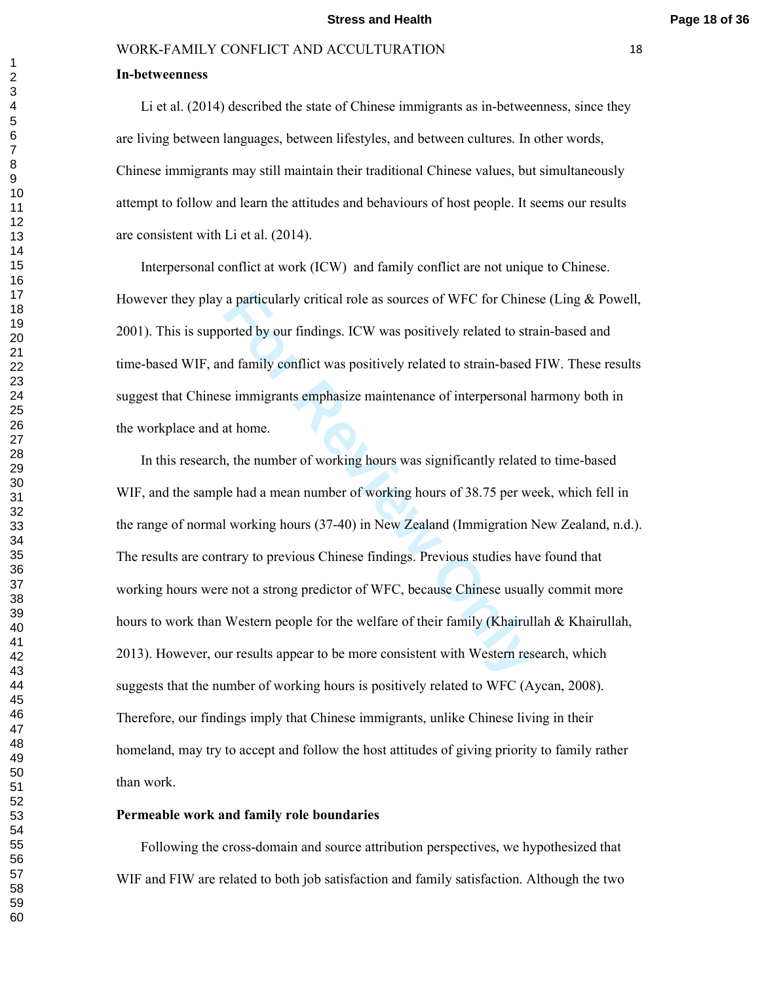#### **In-betweenness**

Li et al. (2014) described the state of Chinese immigrants as in-betweenness, since they are living between languages, between lifestyles, and between cultures. In other words, Chinese immigrants may still maintain their traditional Chinese values, but simultaneously attempt to follow and learn the attitudes and behaviours of host people. It seems our results are consistent with Li et al. (2014).

 Interpersonal conflict at work (ICW) and family conflict are not unique to Chinese. However they play a particularly critical role as sources of WFC for Chinese (Ling & Powell, 2001). This is supported by our findings. ICW was positively related to strain-based and time-based WIF, and family conflict was positively related to strain-based FIW. These results suggest that Chinese immigrants emphasize maintenance of interpersonal harmony both in the workplace and at home.

a particularly critical role as sources of WFC for Chine<br>orted by our findings. ICW was positively related to stra<br>and family conflict was positively related to strain-based<br>e immigrants emphasize maintenance of interperso In this research, the number of working hours was significantly related to time-based WIF, and the sample had a mean number of working hours of 38.75 per week, which fell in the range of normal working hours (37-40) in New Zealand (Immigration New Zealand, n.d.). The results are contrary to previous Chinese findings. Previous studies have found that working hours were not a strong predictor of WFC, because Chinese usually commit more hours to work than Western people for the welfare of their family (Khairullah & Khairullah, 2013). However, our results appear to be more consistent with Western research, which suggests that the number of working hours is positively related to WFC (Aycan, 2008). Therefore, our findings imply that Chinese immigrants, unlike Chinese living in their homeland, may try to accept and follow the host attitudes of giving priority to family rather than work.

## **Permeable work and family role boundaries**

 Following the cross-domain and source attribution perspectives, we hypothesized that WIF and FIW are related to both job satisfaction and family satisfaction. Although the two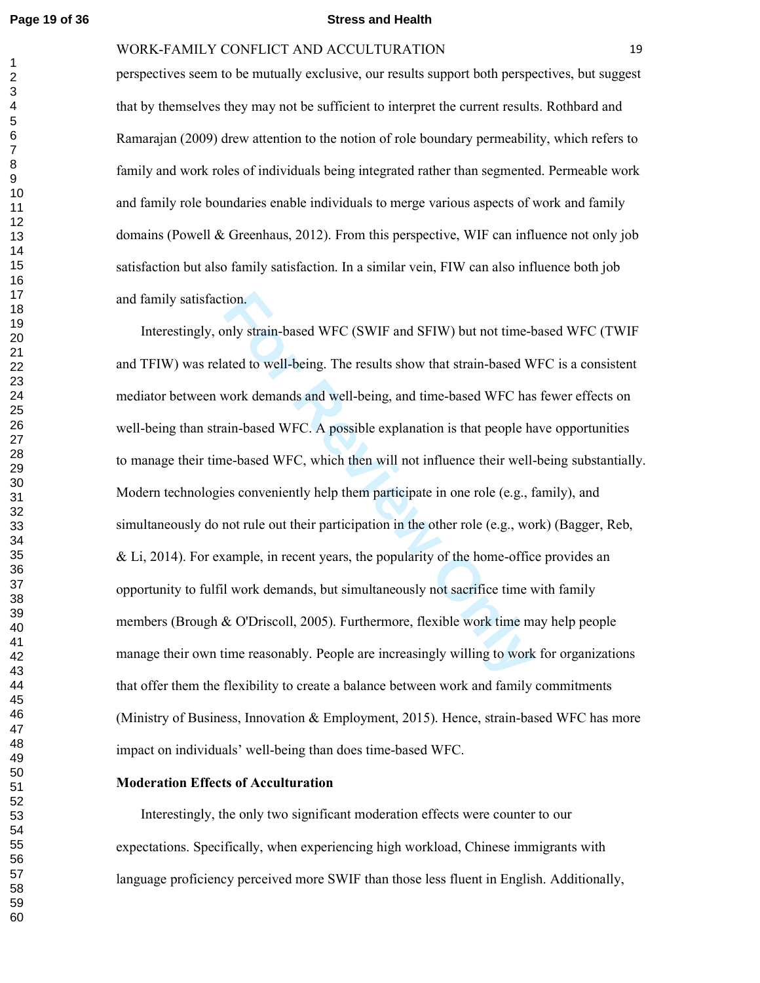#### **Page 19 of 36 Stress and Health**

#### WORK-FAMILY CONFLICT AND ACCULTURATION 19

perspectives seem to be mutually exclusive, our results support both perspectives, but suggest that by themselves they may not be sufficient to interpret the current results. Rothbard and Ramarajan (2009) drew attention to the notion of role boundary permeability, which refers to family and work roles of individuals being integrated rather than segmented. Permeable work and family role boundaries enable individuals to merge various aspects of work and family domains (Powell  $&$  Greenhaus, 2012). From this perspective, WIF can influence not only job satisfaction but also family satisfaction. In a similar vein, FIW can also influence both job and family satisfaction.

tion.<br>
Industrian-based WFC (SWIF and SFIW) but not time-based work demands and well-being, and time-based WFC has<br>
Nork demands and well-being, and time-based WFC has<br>
in-based WFC. A possible explanation is that people h Interestingly, only strain-based WFC (SWIF and SFIW) but not time-based WFC (TWIF and TFIW) was related to well-being. The results show that strain-based WFC is a consistent mediator between work demands and well-being, and time-based WFC has fewer effects on well-being than strain-based WFC. A possible explanation is that people have opportunities to manage their time-based WFC, which then will not influence their well-being substantially. Modern technologies conveniently help them participate in one role (e.g., family), and simultaneously do not rule out their participation in the other role (e.g., work) (Bagger, Reb, & Li, 2014). For example, in recent years, the popularity of the home-office provides an opportunity to fulfil work demands, but simultaneously not sacrifice time with family members (Brough & O'Driscoll, 2005). Furthermore, flexible work time may help people manage their own time reasonably. People are increasingly willing to work for organizations that offer them the flexibility to create a balance between work and family commitments (Ministry of Business, Innovation & Employment, 2015). Hence, strain-based WFC has more impact on individuals' well-being than does time-based WFC.

#### **Moderation Effects of Acculturation**

 Interestingly, the only two significant moderation effects were counter to our expectations. Specifically, when experiencing high workload, Chinese immigrants with language proficiency perceived more SWIF than those less fluent in English. Additionally,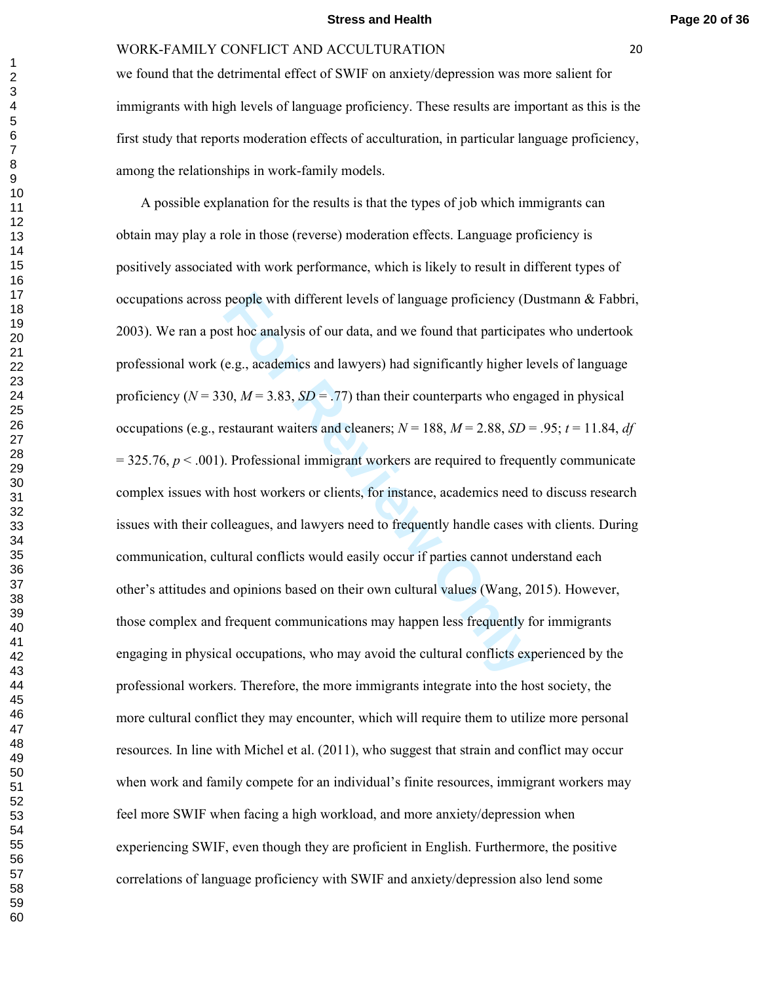we found that the detrimental effect of SWIF on anxiety/depression was more salient for immigrants with high levels of language proficiency. These results are important as this is the first study that reports moderation effects of acculturation, in particular language proficiency, among the relationships in work-family models.

people with different levels of language proficiency (Dist hoc analysis of our data, and we found that participate (e.g., academics and lawyers) had significantly higher le 10,  $M = 3.83$ ,  $SD = .77$ ) than their counterparts A possible explanation for the results is that the types of job which immigrants can obtain may play a role in those (reverse) moderation effects. Language proficiency is positively associated with work performance, which is likely to result in different types of occupations across people with different levels of language proficiency (Dustmann & Fabbri, 2003). We ran a post hoc analysis of our data, and we found that participates who undertook professional work (e.g., academics and lawyers) had significantly higher levels of language proficiency ( $N = 330$ ,  $M = 3.83$ ,  $SD = .77$ ) than their counterparts who engaged in physical occupations (e.g., restaurant waiters and cleaners;  $N = 188$ ,  $M = 2.88$ ,  $SD = .95$ ;  $t = 11.84$ , *df* = 325.76, *p* < .001). Professional immigrant workers are required to frequently communicate complex issues with host workers or clients, for instance, academics need to discuss research issues with their colleagues, and lawyers need to frequently handle cases with clients. During communication, cultural conflicts would easily occur if parties cannot understand each other's attitudes and opinions based on their own cultural values (Wang, 2015). However, those complex and frequent communications may happen less frequently for immigrants engaging in physical occupations, who may avoid the cultural conflicts experienced by the professional workers. Therefore, the more immigrants integrate into the host society, the more cultural conflict they may encounter, which will require them to utilize more personal resources. In line with Michel et al. (2011), who suggest that strain and conflict may occur when work and family compete for an individual's finite resources, immigrant workers may feel more SWIF when facing a high workload, and more anxiety/depression when experiencing SWIF, even though they are proficient in English. Furthermore, the positive correlations of language proficiency with SWIF and anxiety/depression also lend some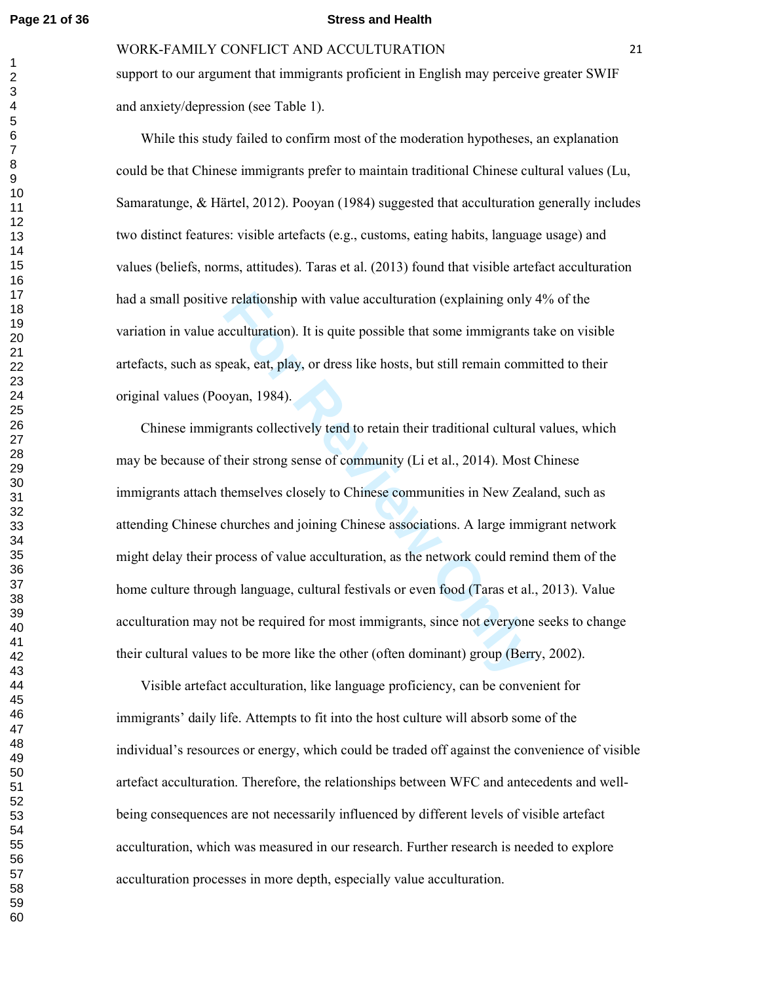$\mathbf{1}$ 

#### **Page 21 of 36 Stress and Health**

WORK-FAMILY CONFLICT AND ACCULTURATION 21

support to our argument that immigrants proficient in English may perceive greater SWIF and anxiety/depression (see Table 1).

 While this study failed to confirm most of the moderation hypotheses, an explanation could be that Chinese immigrants prefer to maintain traditional Chinese cultural values (Lu, Samaratunge, & Härtel, 2012). Pooyan (1984) suggested that acculturation generally includes two distinct features: visible artefacts (e.g., customs, eating habits, language usage) and values (beliefs, norms, attitudes). Taras et al. (2013) found that visible artefact acculturation had a small positive relationship with value acculturation (explaining only 4% of the variation in value acculturation). It is quite possible that some immigrants take on visible artefacts, such as speak, eat, play, or dress like hosts, but still remain committed to their original values (Pooyan, 1984).

Experience in the value acculturation (explaining only coulturation). It is quite possible that some immigrants to beak, eat, play, or dress like hosts, but still remain commoyan, 1984).<br>
Frants collectively tend to retain Chinese immigrants collectively tend to retain their traditional cultural values, which may be because of their strong sense of community (Li et al., 2014). Most Chinese immigrants attach themselves closely to Chinese communities in New Zealand, such as attending Chinese churches and joining Chinese associations. A large immigrant network might delay their process of value acculturation, as the network could remind them of the home culture through language, cultural festivals or even food (Taras et al., 2013). Value acculturation may not be required for most immigrants, since not everyone seeks to change their cultural values to be more like the other (often dominant) group (Berry, 2002).

 Visible artefact acculturation, like language proficiency, can be convenient for immigrants' daily life. Attempts to fit into the host culture will absorb some of the individual's resources or energy, which could be traded off against the convenience of visible artefact acculturation. Therefore, the relationships between WFC and antecedents and wellbeing consequences are not necessarily influenced by different levels of visible artefact acculturation, which was measured in our research. Further research is needed to explore acculturation processes in more depth, especially value acculturation.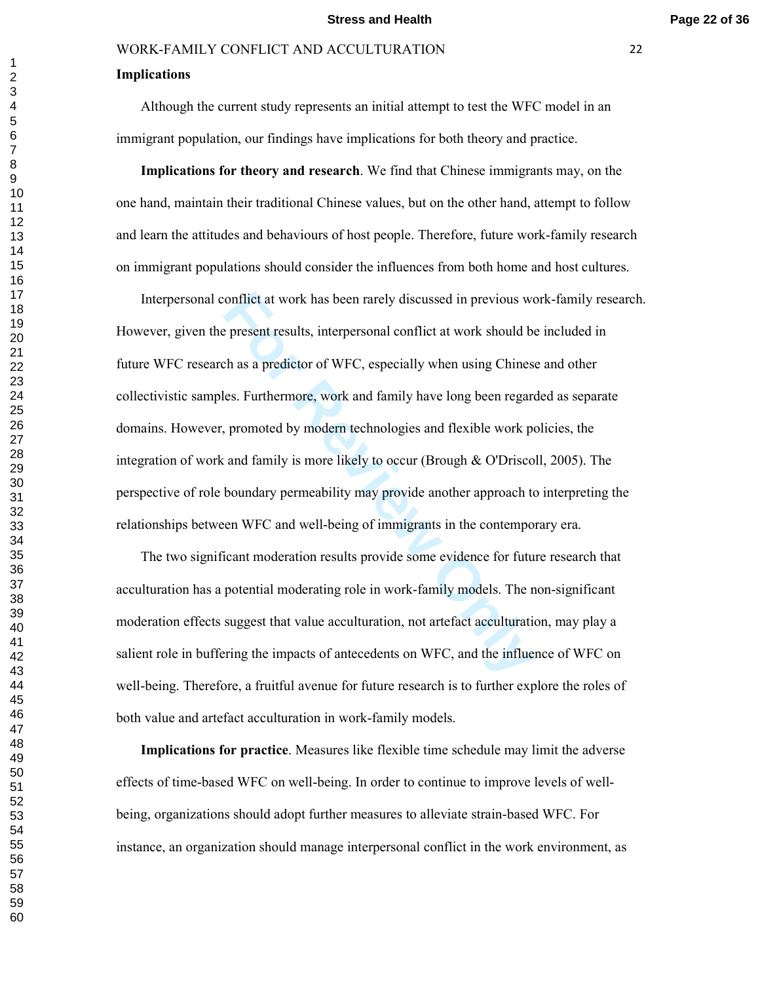#### **Implications**

 Although the current study represents an initial attempt to test the WFC model in an immigrant population, our findings have implications for both theory and practice.

 **Implications for theory and research**. We find that Chinese immigrants may, on the one hand, maintain their traditional Chinese values, but on the other hand, attempt to follow and learn the attitudes and behaviours of host people. Therefore, future work-family research on immigrant populations should consider the influences from both home and host cultures.

onflict at work has been rarely discussed in previous we<br>present results, interpersonal conflict at work should be<br>th as a predictor of WFC, especially when using Chines<br>es. Furthermore, work and family have long been rega Interpersonal conflict at work has been rarely discussed in previous work-family research. However, given the present results, interpersonal conflict at work should be included in future WFC research as a predictor of WFC, especially when using Chinese and other collectivistic samples. Furthermore, work and family have long been regarded as separate domains. However, promoted by modern technologies and flexible work policies, the integration of work and family is more likely to occur (Brough & O'Driscoll, 2005). The perspective of role boundary permeability may provide another approach to interpreting the relationships between WFC and well-being of immigrants in the contemporary era.

 The two significant moderation results provide some evidence for future research that acculturation has a potential moderating role in work-family models. The non-significant moderation effects suggest that value acculturation, not artefact acculturation, may play a salient role in buffering the impacts of antecedents on WFC, and the influence of WFC on well-being. Therefore, a fruitful avenue for future research is to further explore the roles of both value and artefact acculturation in work-family models.

 **Implications for practice**. Measures like flexible time schedule may limit the adverse effects of time-based WFC on well-being. In order to continue to improve levels of wellbeing, organizations should adopt further measures to alleviate strain-based WFC. For instance, an organization should manage interpersonal conflict in the work environment, as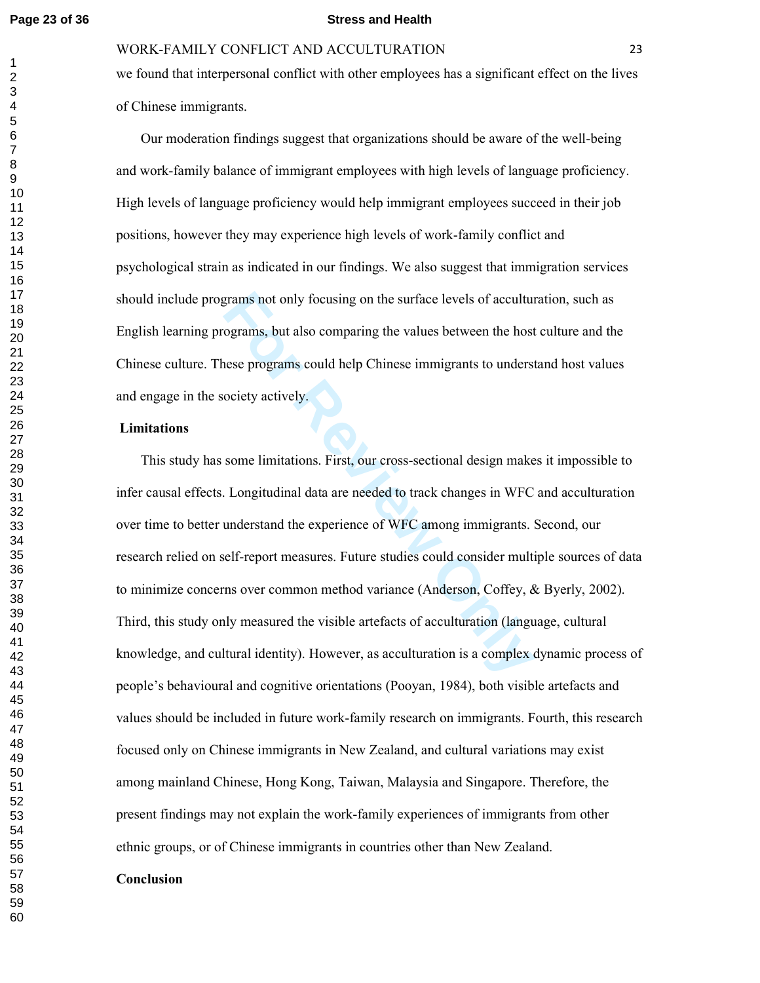#### **Page 23 of 36 Stress and Health**

## WORK-FAMILY CONFLICT AND ACCULTURATION 23

we found that interpersonal conflict with other employees has a significant effect on the lives of Chinese immigrants.

 Our moderation findings suggest that organizations should be aware of the well-being and work-family balance of immigrant employees with high levels of language proficiency. High levels of language proficiency would help immigrant employees succeed in their job positions, however they may experience high levels of work-family conflict and psychological strain as indicated in our findings. We also suggest that immigration services should include programs not only focusing on the surface levels of acculturation, such as English learning programs, but also comparing the values between the host culture and the Chinese culture. These programs could help Chinese immigrants to understand host values and engage in the society actively.

#### **Limitations**

grams not only focusing on the surface levels of accultured<br>ograms, but also comparing the values between the host<br>nese programs could help Chinese immigrants to unders<br>ociety actively.<br>Some limitations. First, our cross-s This study has some limitations. First, our cross-sectional design makes it impossible to infer causal effects. Longitudinal data are needed to track changes in WFC and acculturation over time to better understand the experience of WFC among immigrants. Second, our research relied on self-report measures. Future studies could consider multiple sources of data to minimize concerns over common method variance (Anderson, Coffey, & Byerly, 2002). Third, this study only measured the visible artefacts of acculturation (language, cultural knowledge, and cultural identity). However, as acculturation is a complex dynamic process of people's behavioural and cognitive orientations (Pooyan, 1984), both visible artefacts and values should be included in future work-family research on immigrants. Fourth, this research focused only on Chinese immigrants in New Zealand, and cultural variations may exist among mainland Chinese, Hong Kong, Taiwan, Malaysia and Singapore. Therefore, the present findings may not explain the work-family experiences of immigrants from other ethnic groups, or of Chinese immigrants in countries other than New Zealand.

## **Conclusion**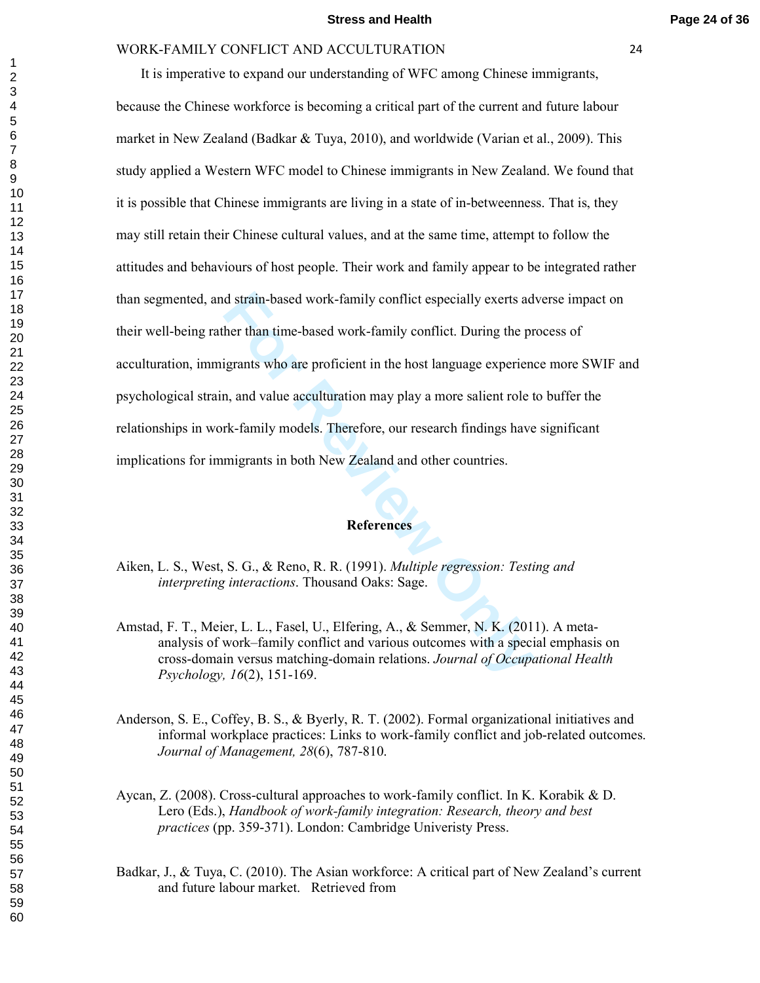d strain-based work-family conflict especially exerts ad<br>her than time-based work-family conflict. During the pr<br>igrants who are proficient in the host language experienc<br>n, and value acculturation may play a more salient It is imperative to expand our understanding of WFC among Chinese immigrants, because the Chinese workforce is becoming a critical part of the current and future labour market in New Zealand (Badkar & Tuya, 2010), and worldwide (Varian et al., 2009). This study applied a Western WFC model to Chinese immigrants in New Zealand. We found that it is possible that Chinese immigrants are living in a state of in-betweenness. That is, they may still retain their Chinese cultural values, and at the same time, attempt to follow the attitudes and behaviours of host people. Their work and family appear to be integrated rather than segmented, and strain-based work-family conflict especially exerts adverse impact on their well-being rather than time-based work-family conflict. During the process of acculturation, immigrants who are proficient in the host language experience more SWIF and psychological strain, and value acculturation may play a more salient role to buffer the relationships in work-family models. Therefore, our research findings have significant implications for immigrants in both New Zealand and other countries.

## **References**

- Aiken, L. S., West, S. G., & Reno, R. R. (1991). *Multiple regression: Testing and interpreting interactions*. Thousand Oaks: Sage.
- Amstad, F. T., Meier, L. L., Fasel, U., Elfering, A., & Semmer, N. K. (2011). A metaanalysis of work–family conflict and various outcomes with a special emphasis on cross-domain versus matching-domain relations. *Journal of Occupational Health Psychology, 16*(2), 151-169.
- Anderson, S. E., Coffey, B. S., & Byerly, R. T. (2002). Formal organizational initiatives and informal workplace practices: Links to work-family conflict and job-related outcomes. *Journal of Management, 28*(6), 787-810.
- Aycan, Z. (2008). Cross-cultural approaches to work-family conflict. In K. Korabik & D. Lero (Eds.), *Handbook of work-family integration: Research, theory and best practices* (pp. 359-371). London: Cambridge Univeristy Press.
- Badkar, J., & Tuya, C. (2010). The Asian workforce: A critical part of New Zealand's current and future labour market. Retrieved from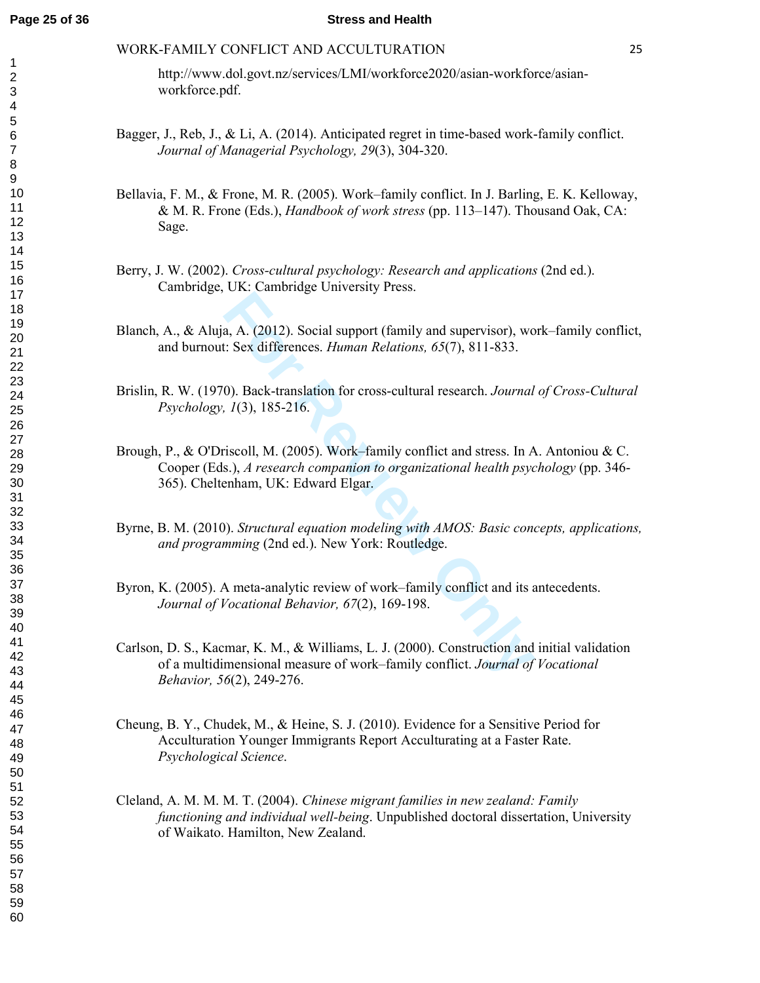http://www.dol.govt.nz/services/LMI/workforce2020/asian-workforce/asianworkforce.pdf.

- Bagger, J., Reb, J., & Li, A. (2014). Anticipated regret in time-based work-family conflict. *Journal of Managerial Psychology, 29*(3), 304-320.
- Bellavia, F. M., & Frone, M. R. (2005). Work–family conflict. In J. Barling, E. K. Kelloway, & M. R. Frone (Eds.), *Handbook of work stress* (pp. 113–147). Thousand Oak, CA: Sage.
- Berry, J. W. (2002). *Cross-cultural psychology: Research and applications* (2nd ed.). Cambridge, UK: Cambridge University Press.
- Blanch, A., & Aluja, A. (2012). Social support (family and supervisor), work–family conflict, and burnout: Sex differences. *Human Relations, 65*(7), 811-833.
- Brislin, R. W. (1970). Back-translation for cross-cultural research. *Journal of Cross-Cultural Psychology, 1*(3), 185-216.
- **Example 10** Since and Singuport (family and supervisor), we<br> **For Review Concilist** Singlet Singlet Singlet Singlet Singlet Singlet Singlet Singlet Singlet Singlet Singlet Singlet Singlet Singlet Singlet Singlet Singlet S Brough, P., & O'Driscoll, M. (2005). Work–family conflict and stress. In A. Antoniou & C. Cooper (Eds.), *A research companion to organizational health psychology* (pp. 346- 365). Cheltenham, UK: Edward Elgar.
- Byrne, B. M. (2010). *Structural equation modeling with AMOS: Basic concepts, applications, and programming* (2nd ed.). New York: Routledge.
- Byron, K. (2005). A meta-analytic review of work–family conflict and its antecedents. *Journal of Vocational Behavior, 67*(2), 169-198.
- Carlson, D. S., Kacmar, K. M., & Williams, L. J. (2000). Construction and initial validation of a multidimensional measure of work–family conflict. *Journal of Vocational Behavior, 56*(2), 249-276.
- Cheung, B. Y., Chudek, M., & Heine, S. J. (2010). Evidence for a Sensitive Period for Acculturation Younger Immigrants Report Acculturating at a Faster Rate. *Psychological Science*.
- Cleland, A. M. M. M. T. (2004). *Chinese migrant families in new zealand: Family functioning and individual well-being*. Unpublished doctoral dissertation, University of Waikato. Hamilton, New Zealand.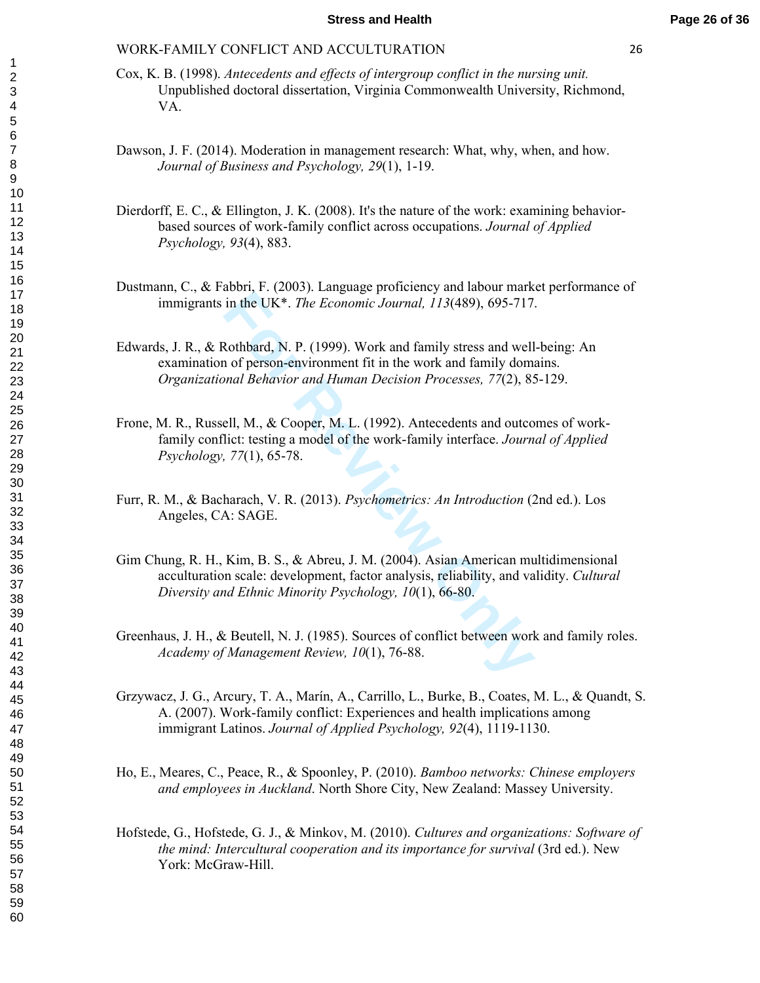- Cox, K. B. (1998). *Antecedents and effects of intergroup conflict in the nursing unit.* Unpublished doctoral dissertation, Virginia Commonwealth University, Richmond, VA.
- Dawson, J. F. (2014). Moderation in management research: What, why, when, and how. *Journal of Business and Psychology, 29*(1), 1-19.
- Dierdorff, E. C., & Ellington, J. K. (2008). It's the nature of the work: examining behaviorbased sources of work-family conflict across occupations. *Journal of Applied Psychology, 93*(4), 883.
- Dustmann, C., & Fabbri, F. (2003). Language proficiency and labour market performance of immigrants in the UK\*. *The Economic Journal, 113*(489), 695-717.
- Edwards, J. R., & Rothbard, N. P. (1999). Work and family stress and well-being: An examination of person-environment fit in the work and family domains. *Organizational Behavior and Human Decision Processes, 77*(2), 85-129.
- Frone, M. R., Russell, M., & Cooper, M. L. (1992). Antecedents and outcomes of workfamily conflict: testing a model of the work-family interface. *Journal of Applied Psychology, 77*(1), 65-78.
- Furr, R. M., & Bacharach, V. R. (2013). *Psychometrics: An Introduction* (2nd ed.). Los Angeles, CA: SAGE.
- in the UK<sup>\*</sup>. *The Economic Journal*, 113(489), 695-717<br>
Rothbard, N. P. (1999). Work and family stress and well<br>
1 of person-environment fit in the work and family dom<br> *nonal Behavior and Human Decision Processes, 77*(2) Gim Chung, R. H., Kim, B. S., & Abreu, J. M. (2004). Asian American multidimensional acculturation scale: development, factor analysis, reliability, and validity. *Cultural Diversity and Ethnic Minority Psychology, 10*(1), 66-80.
- Greenhaus, J. H., & Beutell, N. J. (1985). Sources of conflict between work and family roles. *Academy of Management Review, 10*(1), 76-88.
- Grzywacz, J. G., Arcury, T. A., Marín, A., Carrillo, L., Burke, B., Coates, M. L., & Quandt, S. A. (2007). Work-family conflict: Experiences and health implications among immigrant Latinos. *Journal of Applied Psychology, 92*(4), 1119-1130.
- Ho, E., Meares, C., Peace, R., & Spoonley, P. (2010). *Bamboo networks: Chinese employers and employees in Auckland*. North Shore City, New Zealand: Massey University.
- Hofstede, G., Hofstede, G. J., & Minkov, M. (2010). *Cultures and organizations: Software of the mind: Intercultural cooperation and its importance for survival* (3rd ed.). New York: McGraw-Hill.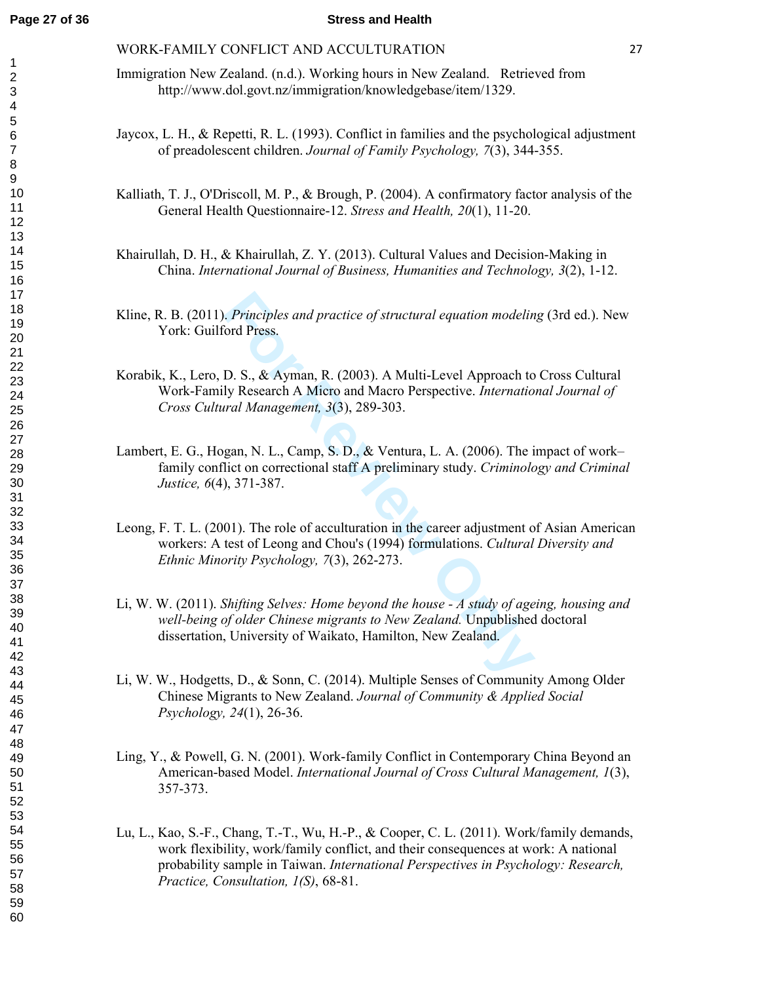#### **Page 27 of 36 Stress and Health**

#### WORK-FAMILY CONFLICT AND ACCULTURATION 27

- Immigration New Zealand. (n.d.). Working hours in New Zealand. Retrieved from http://www.dol.govt.nz/immigration/knowledgebase/item/1329.
- Jaycox, L. H., & Repetti, R. L. (1993). Conflict in families and the psychological adjustment of preadolescent children. *Journal of Family Psychology, 7*(3), 344-355.
- Kalliath, T. J., O'Driscoll, M. P., & Brough, P. (2004). A confirmatory factor analysis of the General Health Questionnaire-12. *Stress and Health, 20*(1), 11-20.
- Khairullah, D. H., & Khairullah, Z. Y. (2013). Cultural Values and Decision-Making in China. *International Journal of Business, Humanities and Technology, 3*(2), 1-12.
- Kline, R. B. (2011). *Principles and practice of structural equation modeling* (3rd ed.). New York: Guilford Press.
- *Finciples and practice of structural equation modelin*<br>
For Press.<br>
D. S., & Ayman, R. (2003). A Multi-Level Approach to<br>
ly Research A Micro and Macro Perspective. *Internatio*<br> *ral Management, 3*(3), 289-303.<br>
gan, N. Korabik, K., Lero, D. S., & Ayman, R. (2003). A Multi-Level Approach to Cross Cultural Work-Family Research A Micro and Macro Perspective. *International Journal of Cross Cultural Management, 3*(3), 289-303.
- Lambert, E. G., Hogan, N. L., Camp, S. D., & Ventura, L. A. (2006). The impact of work– family conflict on correctional staff A preliminary study. *Criminology and Criminal Justice, 6*(4), 371-387.
- Leong, F. T. L. (2001). The role of acculturation in the career adjustment of Asian American workers: A test of Leong and Chou's (1994) formulations. *Cultural Diversity and Ethnic Minority Psychology, 7*(3), 262-273.
- Li, W. W. (2011). *Shifting Selves: Home beyond the house A study of ageing, housing and well-being of older Chinese migrants to New Zealand.* Unpublished doctoral dissertation, University of Waikato, Hamilton, New Zealand.
- Li, W. W., Hodgetts, D., & Sonn, C. (2014). Multiple Senses of Community Among Older Chinese Migrants to New Zealand. *Journal of Community & Applied Social Psychology, 24*(1), 26-36.
- Ling, Y., & Powell, G. N. (2001). Work-family Conflict in Contemporary China Beyond an American-based Model. *International Journal of Cross Cultural Management, 1*(3), 357-373.
- Lu, L., Kao, S.-F., Chang, T.-T., Wu, H.-P., & Cooper, C. L. (2011). Work/family demands, work flexibility, work/family conflict, and their consequences at work: A national probability sample in Taiwan. *International Perspectives in Psychology: Research, Practice, Consultation, 1(S)*, 68-81.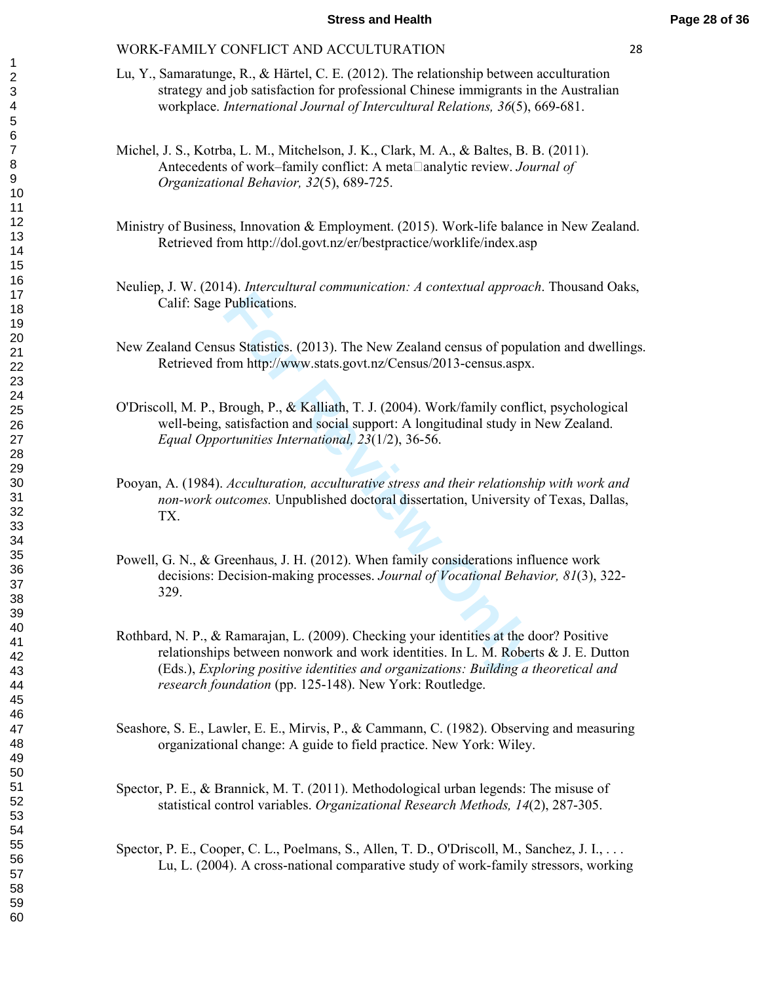- Lu, Y., Samaratunge, R., & Härtel, C. E. (2012). The relationship between acculturation strategy and job satisfaction for professional Chinese immigrants in the Australian workplace. *International Journal of Intercultural Relations, 3 6*(5), 669-681.
- Michel, J. S., Kotrba, L. M., Mitchelson, J. K., Clark, M. A., & Baltes, B. B. (2011). Antecedents of work–family conflict: A meta analytic review. *Journal of Organizational Behavior, 32*(5), 689-725.
- Ministry of Business, Innovation & Employment. (2015). Work-life balance in New Zealand. Retrieved from http://dol.govt.nz/er/bestpractice/worklife/index.asp
- Neuliep, J. W. (2014). *Intercultural communication: A contextual approach*. Thousand Oaks, Calif: Sage Publications.
- New Zealand Census Statistics. (2013). The New Zealand census of population and dwellings. Retrieved from http://www.stats.govt.nz/Census/2013-census.aspx.
- O'Driscoll, M. P., Brough, P., & Kalliath, T. J. (2004). Work/family conflict, psychological well-being, satisfaction and social support: A longitudinal study in New Zealand. *Equal Opportunities International, 23*(1/2), 36-56.
- Pooyan, A. (1984). *Acculturation, acculturative stress and their relationship with work and non-work outcomes.* Unpublished doctoral dissertation, University of Texas, Dallas, TX.
- Powell, G. N., & Greenhaus, J. H. (2012). When family considerations influence work decisions: Decision-making processes. *Journal of Vocational Behavior, 81*(3), 322- 329.
- Publications.<br>
us Statistics. (2013). The New Zealand census of popular<br>
com http://www.stats.govt.nz/Census/2013-census.aspx.<br>
Brough, P., & Kalliath, T. J. (2004). Work/family conflicatisfaction and social support: A lon Rothbard, N. P., & Ramarajan, L. (2009). Checking your identities at the door? Positive relationships between nonwork and work identities. In L. M. Roberts & J. E. Dutton (Eds.), *Exploring positive identities and organizations: Building a theoretical and research foundation* (pp. 125-148). New York: Routledge.
- Seashore, S. E., Lawler, E. E., Mirvis, P., & Cammann, C. (1982). Observing and measuring organizational change: A guide to field practice. New York: Wiley.
- Spector, P. E., & Brannick, M. T. (2011). Methodological urban legends: The misuse of statistical control variables. *Organizational Research Methods, 14*(2), 287-305.
- Spector, P. E., Cooper, C. L., Poelmans, S., Allen, T. D., O'Driscoll, M., Sanchez, J. I., . . . Lu, L. (2004). A cross-national comparative study of work-family stressors, working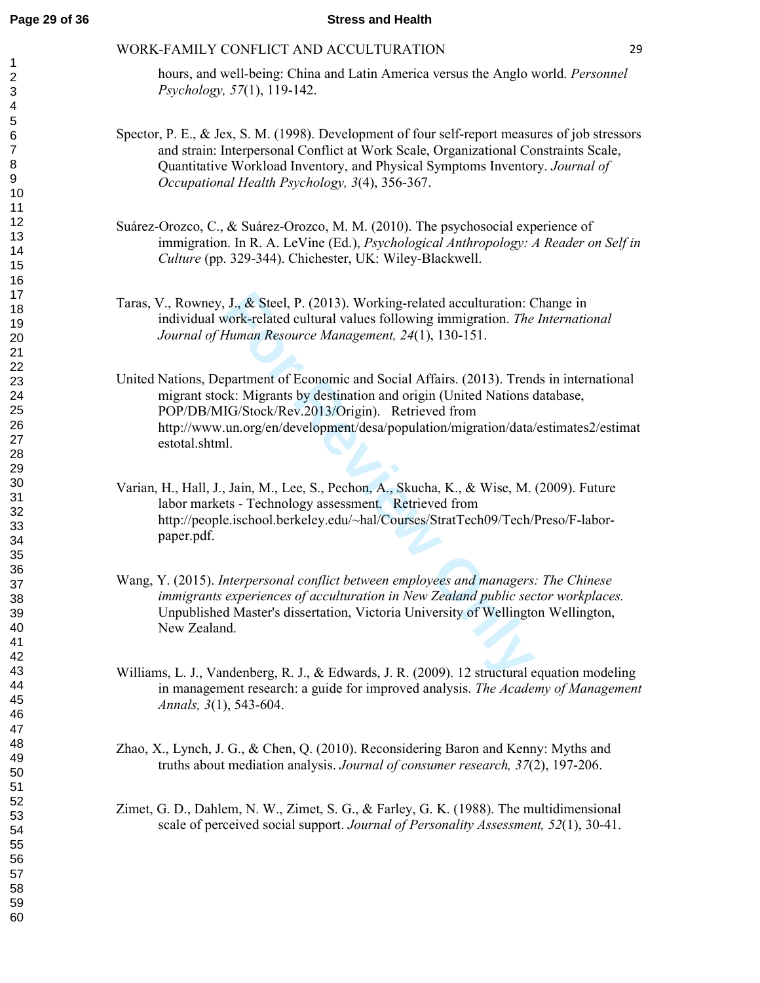hours, and well-being: China and Latin America versus the Anglo world. *Personnel Psychology, 57*(1), 119-142.

- Spector, P. E., & Jex, S. M. (1998). Development of four self-report measures of job stressors and strain: Interpersonal Conflict at Work Scale, Organizational Constraints Scale, Quantitative Workload Inventory, and Physical Symptoms Inventory. *Journal of Occupational Health Psychology, 3*(4), 356-367.
- Suárez-Orozco, C., & Suárez-Orozco, M. M. (2010). The psychosocial experience of immigration. In R. A. LeVine (Ed.), *Psychological Anthropology: A Reader on Self in Culture* (pp. 329-344). Chichester, UK: Wiley-Blackwell.
- Taras, V., Rowney, J., & Steel, P. (2013). Working-related acculturation: Change in individual work-related cultural values following immigration. *The International Journal of Human Resource Management, 24*(1), 130-151.
- J., & Steel, P. (2013). Working-related acculturation: Corok-related cultural values following immigration. *The Human Resource Management, 24*(1), 130-151.<br>partment of Economic and Social Affairs. (2013). Trenck: Migrants United Nations, Department of Economic and Social Affairs. (2013). Trends in international migrant stock: Migrants by destination and origin (United Nations database, POP/DB/MIG/Stock/Rev.2013/Origin). Retrieved from http://www.un.org/en/development/desa/population/migration/data/estimates2/estimat estotal.shtml.
- Varian, H., Hall, J., Jain, M., Lee, S., Pechon, A., Skucha, K., & Wise, M. (2009). Future labor markets - Technology assessment. Retrieved from http://people.ischool.berkeley.edu/~hal/Courses/StratTech09/Tech/Preso/F-laborpaper.pdf.
- Wang, Y. (2015). *Interpersonal conflict between employees and managers: The Chinese immigrants experiences of acculturation in New Zealand public sector workplaces.* Unpublished Master's dissertation, Victoria University of Wellington Wellington, New Zealand.
- Williams, L. J., Vandenberg, R. J., & Edwards, J. R. (2009). 12 structural equation modeling in management research: a guide for improved analysis. *The Academy of Management Annals, 3*(1), 543-604.
- Zhao, X., Lynch, J. G., & Chen, Q. (2010). Reconsidering Baron and Kenny: Myths and truths about mediation analysis. *Journal of consumer research, 37*(2), 197-206.
- Zimet, G. D., Dahlem, N. W., Zimet, S. G., & Farley, G. K. (1988). The multidimensional scale of perceived social support. *Journal of Personality Assessment, 52*(1), 30-41.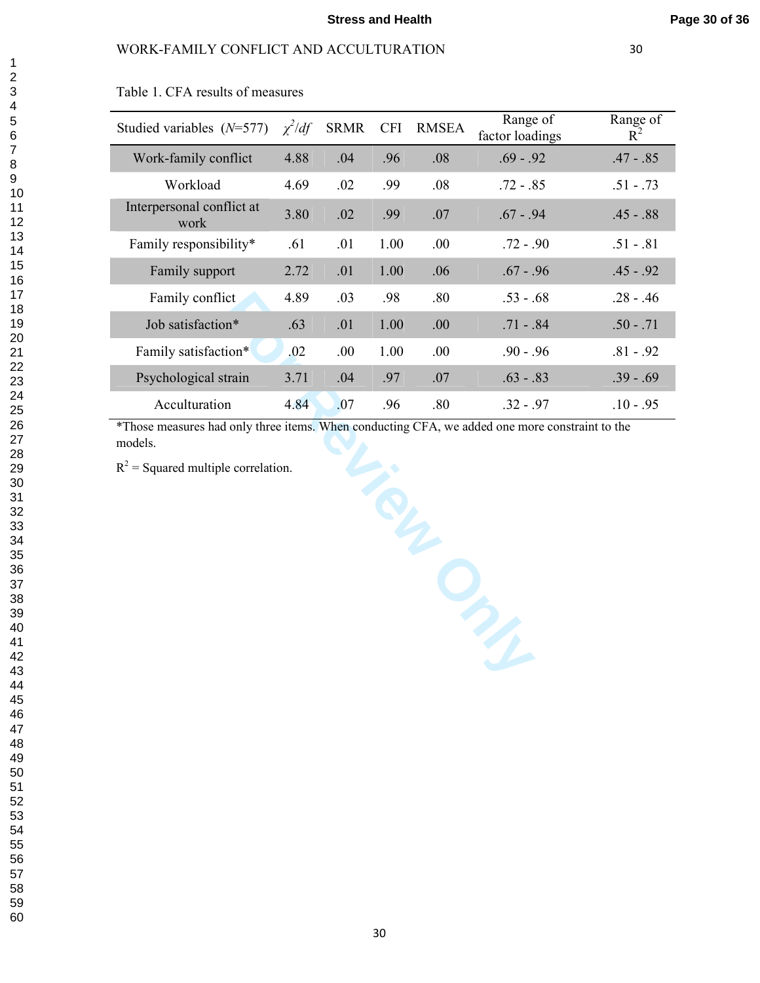| Table 1. CFA results of measures |
|----------------------------------|
|----------------------------------|

| Studied variables $(N=577)$       | $\chi^2/df$ | <b>SRMR</b> | <b>CFI</b> | <b>RMSEA</b> | Range of<br>factor loadings | Range of<br>$R^2$ |
|-----------------------------------|-------------|-------------|------------|--------------|-----------------------------|-------------------|
| Work-family conflict              | 4.88        | .04         | .96        | .08          | $.69 - .92$                 | $.47 - .85$       |
| Workload                          | 4.69        | .02         | .99        | .08          | $.72 - .85$                 | $.51 - .73$       |
| Interpersonal conflict at<br>work | 3.80        | .02         | .99        | .07          | $.67 - .94$                 | $.45 - .88$       |
| Family responsibility*            | .61         | .01         | 1.00       | .00.         | $.72 - .90$                 | $.51 - .81$       |
| Family support                    | 2.72        | .01         | 1.00       | .06          | $.67 - .96$                 | $.45 - .92$       |
| Family conflict                   | 4.89        | .03         | .98        | .80          | $53 - 68$                   | $.28 - .46$       |
| Job satisfaction*                 | .63         | .01         | 1.00       | .00.         | $.71 - .84$                 | $.50 - .71$       |
| Family satisfaction*              | .02         | .00.        | 1.00       | .00.         | $90 - 96$                   | $.81 - .92$       |
| Psychological strain              | 3.71        | .04         | .97        | .07          | $.63 - .83$                 | $.39 - .69$       |
| Acculturation                     | 4.84        | .07         | .96        | .80          | $.32 - .97$                 | $.10 - .95$       |

**For Review Only** \*Those measures had only three items. When conducting CFA, we added one more constraint to the

models.<br> $R^2$  = Squared multiple correlation.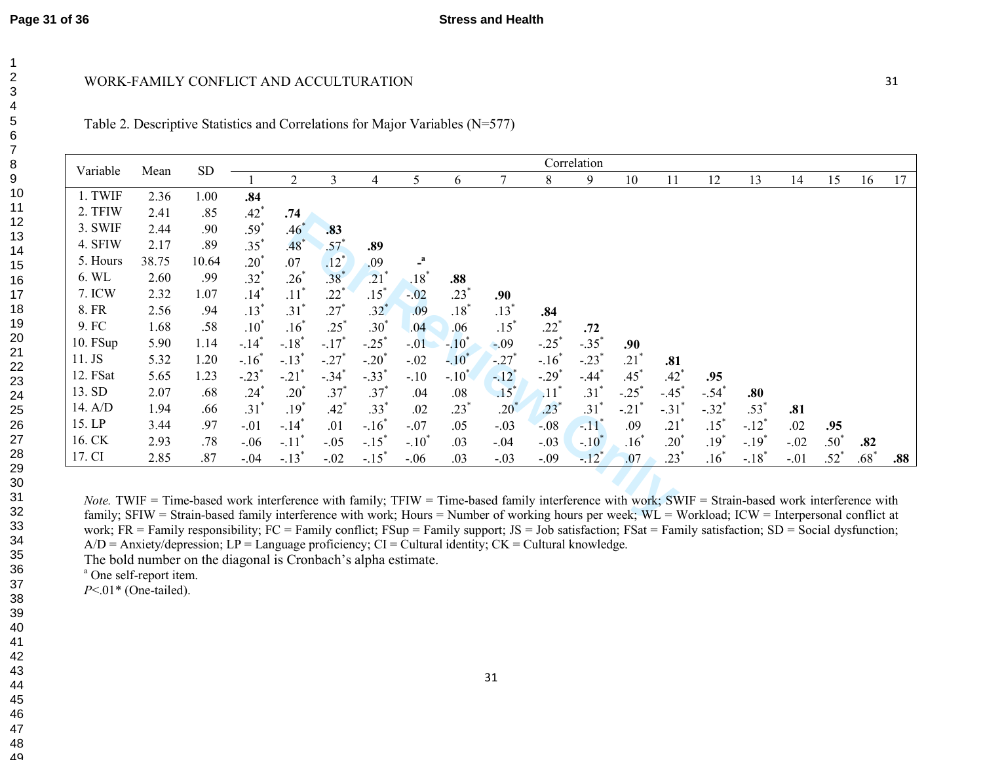|                                                                                                                                                                                                                                                                                                                  |       | <b>SD</b> | Correlation         |                     |                     |                     |                    |                  |                                                    |                     |                     |                     |                     |                     |                     |        |                 |        |     |
|------------------------------------------------------------------------------------------------------------------------------------------------------------------------------------------------------------------------------------------------------------------------------------------------------------------|-------|-----------|---------------------|---------------------|---------------------|---------------------|--------------------|------------------|----------------------------------------------------|---------------------|---------------------|---------------------|---------------------|---------------------|---------------------|--------|-----------------|--------|-----|
| Variable                                                                                                                                                                                                                                                                                                         | Mean  |           |                     | 2                   | 3                   | 4                   | 5                  | 6                |                                                    | 8                   | 9                   | 10                  | 11                  | 12                  | 13                  | 14     | 15              | 16     | 17  |
| 1. TWIF                                                                                                                                                                                                                                                                                                          | 2.36  | 1.00      | .84                 |                     |                     |                     |                    |                  |                                                    |                     |                     |                     |                     |                     |                     |        |                 |        |     |
| 2. TFIW                                                                                                                                                                                                                                                                                                          | 2.41  | .85       | $.42^{\degree}$     | .74                 |                     |                     |                    |                  |                                                    |                     |                     |                     |                     |                     |                     |        |                 |        |     |
| 3. SWIF                                                                                                                                                                                                                                                                                                          | 2.44  | .90       | $.59^{^{\circ}}$    | $.46^*$             | .83                 |                     |                    |                  |                                                    |                     |                     |                     |                     |                     |                     |        |                 |        |     |
| 4. SFIW                                                                                                                                                                                                                                                                                                          | 2.17  | .89       | $.35^*$             | .48                 | $.57*$              | .89                 |                    |                  |                                                    |                     |                     |                     |                     |                     |                     |        |                 |        |     |
| 5. Hours                                                                                                                                                                                                                                                                                                         | 38.75 | 10.64     | $.20^{*}$           | .07                 | $.12^{\degree}$     | .09                 |                    |                  |                                                    |                     |                     |                     |                     |                     |                     |        |                 |        |     |
| 6. WL                                                                                                                                                                                                                                                                                                            | 2.60  | .99       | $.32^{*}$           | $.26*$              | $.38*$              | $.21$ <sup>*</sup>  | $.18$ <sup>*</sup> | .88              |                                                    |                     |                     |                     |                     |                     |                     |        |                 |        |     |
| 7. ICW                                                                                                                                                                                                                                                                                                           | 2.32  | 1.07      | $.14*$              | $.11$ <sup>*</sup>  | .22                 | $.15*$              | $-.02$             | $.23*$           | .90                                                |                     |                     |                     |                     |                     |                     |        |                 |        |     |
| 8. FR                                                                                                                                                                                                                                                                                                            | 2.56  | .94       | $.13*$              | $.31*$              | $.27*$              | $.32^{*}$           | .09                | $.18^{\degree}$  | $.13*$                                             | .84                 |                     |                     |                     |                     |                     |        |                 |        |     |
| 9. FC                                                                                                                                                                                                                                                                                                            | 1.68  | .58       | $.10^{\degree}$     | $.16^*$             | $.25^*$             | $.30^{*}$           | .04                | .06              | $.15^*$                                            | $.22^{^{\circ}}$    | .72                 |                     |                     |                     |                     |        |                 |        |     |
| 10. FSup                                                                                                                                                                                                                                                                                                         | 5.90  | 1.14      | $-.14$ <sup>*</sup> | $-.18$ <sup>*</sup> | $-.17$ <sup>*</sup> | $-.25$ <sup>*</sup> | $-.01$             | $-.10^*$         | $-.09$                                             | $-.25$ <sup>*</sup> | $-.35$ <sup>*</sup> | .90                 |                     |                     |                     |        |                 |        |     |
| 11. JS                                                                                                                                                                                                                                                                                                           | 5.32  | 1.20      | $-.16$ <sup>*</sup> | $-.13$ <sup>*</sup> | $-.27$ <sup>*</sup> | $-.20^{\degree}$    | $-.02$             | $-.10^{\degree}$ | $-27$ <sup>*</sup>                                 | $-.16$ <sup>*</sup> | $-.23$              | $.21$ <sup>*</sup>  | .81                 |                     |                     |        |                 |        |     |
| 12. FSat                                                                                                                                                                                                                                                                                                         | 5.65  | 1.23      | $-.23$ <sup>*</sup> | $-.21$ <sup>*</sup> | $-.34$ <sup>*</sup> | $-.33$ <sup>*</sup> | $-.10$             | $-.10^{\degree}$ | $-12^*$                                            | $-.29$ <sup>*</sup> | $-.44$ <sup>*</sup> | $.45*$              | $.42^{\degree}$     | .95                 |                     |        |                 |        |     |
| 13. SD                                                                                                                                                                                                                                                                                                           | 2.07  | .68       | .24                 | $.20^{\degree}$     | $.37^{*}$           | $.37^{*}$           | .04                | .08              | $.15$ <sup>*</sup>                                 | $\cdot$ 11          | $.31$ <sup>'</sup>  | $-.25$ <sup>*</sup> | $-.45$ <sup>*</sup> | $-.54$              | .80                 |        |                 |        |     |
| 14. A/D                                                                                                                                                                                                                                                                                                          | 1.94  | .66       | $.31^{\degree}$     | $.19^{^{*}}$        | $.42^{*}$           | .33 <sup>°</sup>    | .02                | $.23^{\degree}$  | $.20^{\degree}$                                    | $.23^{^{\circ}}$    | $.31$ <sup>*</sup>  | $-.21$              | $-.31$ <sup>'</sup> | $-.32$ <sup>*</sup> | $.53^{\degree}$     | .81    |                 |        |     |
| 15. LP                                                                                                                                                                                                                                                                                                           | 3.44  | .97       | $-.01$              | $-.14$ <sup>*</sup> | .01                 | $-.16$ <sup>*</sup> | $-.07$             | .05              | $-.03$                                             | $-.08$              | $-11$ <sup>*</sup>  | .09                 | .21                 | $.15^*$             | $-.12$ <sup>*</sup> | .02    | .95             |        |     |
| 16. CK                                                                                                                                                                                                                                                                                                           | 2.93  | .78       | $-06$               | $-.11$ <sup>*</sup> | $-.05$              | $-.15$ <sup>*</sup> | $-.10^{\degree}$   | .03              | $-.04$                                             | $-.03$              | $-.10^*$            | $.16^*$             | $.20^{\degree}$     | $.19*$              | $-.19$ <sup>*</sup> | $-.02$ | $.50^{\degree}$ | .82    |     |
| 17. CI                                                                                                                                                                                                                                                                                                           | 2.85  | .87       | $-.04$              | $-.13$ <sup>*</sup> | $-.02$              | $-.15^*$            | $-.06$             | .03              | $-.03$                                             | $-.09$              | $-.12$ <sup>*</sup> | .07                 | $.23^{\degree}$     | $.16^{\degree}$     | $-.18$ <sup>*</sup> | $-.01$ | $.52^{\degree}$ | $.68*$ | .88 |
|                                                                                                                                                                                                                                                                                                                  |       |           |                     |                     |                     |                     |                    |                  |                                                    |                     |                     |                     |                     |                     |                     |        |                 |        |     |
|                                                                                                                                                                                                                                                                                                                  |       |           |                     |                     |                     |                     |                    |                  |                                                    |                     |                     |                     |                     |                     |                     |        |                 |        |     |
| <i>Note.</i> TWIF = Time-based work interference with family; TFIW = Time-based family interference with work; SWIF = Strain-based work interference with<br>family; SFIW = Strain-based family interference with work; Hours = Number of working hours per week; WL = Workload; ICW = Interpersonal conflict at |       |           |                     |                     |                     |                     |                    |                  |                                                    |                     |                     |                     |                     |                     |                     |        |                 |        |     |
|                                                                                                                                                                                                                                                                                                                  |       |           |                     |                     |                     |                     |                    |                  | ם תם נימן ובחומה נימן ובמודד בבית מתומד ובחמת נודד |                     |                     |                     |                     |                     |                     |        |                 |        |     |

**Stress and Health**

work; FR = Family responsibility; FC = Family conflict; FSup = Family support; JS = Job satisfaction; FSat = Family satisfaction; SD = Social dysfunction; *Note.* TWIF = Time-based work interference with family; TFIW = Time-based family interference with work; SWIF = Strain-based work interference with family; SFIW = Strain-based family interference with work; Hours = Number of working hours per week; WL = Workload; ICW = Interpersonal conflict at  $A/D =$  Anxiety/depression;  $LP =$  Language proficiency;  $CI =$  Cultural identity;  $CK =$  Cultural knowledge.

31

The bold number on the diagonal is Cronbach's alpha estimate.

<sup>a</sup> One self-report item.

*P*<.01\* (One-tailed).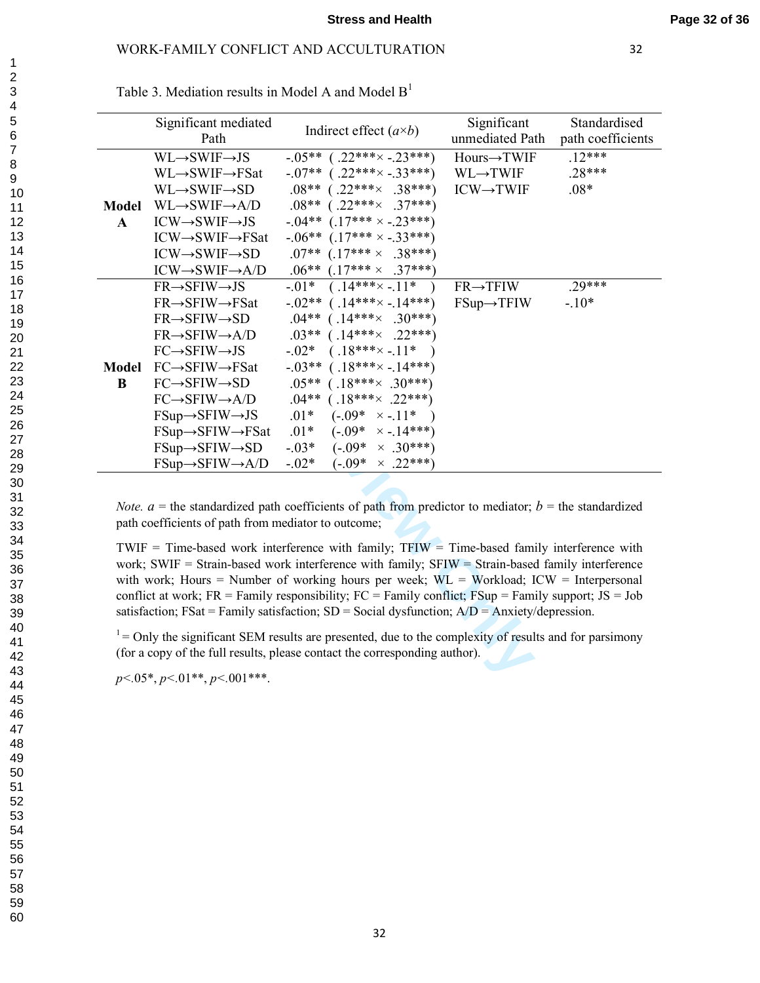|              | Significant mediated<br>Path                        | Indirect effect $(a \times b)$                                                                                   | Significant<br>unmediated Path | Standardised<br>path coefficients |
|--------------|-----------------------------------------------------|------------------------------------------------------------------------------------------------------------------|--------------------------------|-----------------------------------|
|              | $WL \rightarrow SWIF \rightarrow JS$                | $-.05***$ (.22*** $\times$ -.23***)                                                                              | Hours→TWIF                     | $.12***$                          |
|              | $WL \rightarrow SWIF \rightarrow FSat$              | $-07**$ (.22*** $\times$ -.33***)                                                                                | $WL \rightarrow TWIF$          | $.28***$                          |
|              | $WL \rightarrow SWIF \rightarrow SD$                | $.08***$ (.22*** $\times$ .38***)                                                                                | $ICW \rightarrow TWIF$         | $.08*$                            |
| <b>Model</b> | $WL \rightarrow SWIF \rightarrow A/D$               | $.08***$ (.22*** $\times$ .37***)                                                                                |                                |                                   |
| $\mathbf{A}$ | $ICW \rightarrow SWIF \rightarrow JS$               | $-.04**$ (.17*** $\times$ -.23***)                                                                               |                                |                                   |
|              | $ICW \rightarrow SWIF \rightarrow FSat$             | $-.06***$ $(.17*** \times -.33***)$                                                                              |                                |                                   |
|              | $ICW \rightarrow SWIF \rightarrow SD$               | $.07***$ $(.17*** \times .38***)$                                                                                |                                |                                   |
|              | $ICW \rightarrow SWIF \rightarrow A/D$              | $.06***$ $(.17*** \times .37***)$                                                                                |                                |                                   |
|              | $FR \rightarrow SFIW \rightarrow JS$                | $(.14*** \times -.11*$<br>$-01*$                                                                                 | $FR \rightarrow TFIW$          | $.29***$                          |
|              | $FR \rightarrow SFIW \rightarrow FSat$              | $-0.02**$<br>$(.14*** \times -.14***)$                                                                           | $FSup \rightarrow TFIW$        | $-10*$                            |
|              | $FR \rightarrow SFIW \rightarrow SD$                | $.04**$<br>$(.14*** \times .30***)$                                                                              |                                |                                   |
|              | $FR \rightarrow SFIW \rightarrow A/D$               | $(.14*** \times .22***)$<br>$.03**$                                                                              |                                |                                   |
|              | $FC \rightarrow SFIW \rightarrow JS$                | $-0.02*$<br>$(.18***-.11*)$                                                                                      |                                |                                   |
| <b>Model</b> | $FC \rightarrow SFIW \rightarrow FSat$              | $(.18*** \times -.14***)$<br>$-03**$                                                                             |                                |                                   |
| $\bf{B}$     | $FC \rightarrow SFIW \rightarrow SD$                | $.05***$ (.18*** $\times$ .30***)                                                                                |                                |                                   |
|              | $FC \rightarrow SFIW \rightarrow A/D$               | $.04***$ (.18*** $\times$ .22***)                                                                                |                                |                                   |
|              | $FSup \rightarrow SFIW \rightarrow JS$              | $.01*$<br>$(-.09^* \times -.11^*$                                                                                |                                |                                   |
|              | $FSup \rightarrow SFIW \rightarrow FSat$            | $(-.09* \times -.14***)$<br>$.01*$                                                                               |                                |                                   |
|              | $FSup \rightarrow SFIW \rightarrow SD$              | $-0.03*$<br>$(-.09* \times .30***)$                                                                              |                                |                                   |
|              | $FSup \rightarrow SFIW \rightarrow A/D$             | $-.02*$<br>$(-.09^* \times .22^{***})$                                                                           |                                |                                   |
|              |                                                     |                                                                                                                  |                                |                                   |
|              | path coefficients of path from mediator to outcome; | <i>Note.</i> $a =$ the standardized path coefficients of path from predictor to mediator; $b =$ the standardized |                                |                                   |
|              |                                                     | TWIF = Time-based work interference with family; $TFIW = Time$ -based family interference with                   |                                |                                   |
|              |                                                     | work; SWIF = Strain-based work interference with family; SFIW = Strain-based family interference                 |                                |                                   |
|              |                                                     | with work; Hours = Number of working hours per week; $WL = Workload$ ; $ICW = Interpersonal$                     |                                |                                   |
|              |                                                     | conflict at work; $FR = F$ Family responsibility; $FC = F$ Family conflict; $F$ Sup = Family support; JS = Job   |                                |                                   |
|              |                                                     | satisfaction; FSat = Family satisfaction; SD = Social dysfunction; $A/D =$ Anxiety/depression.                   |                                |                                   |
|              |                                                     |                                                                                                                  |                                |                                   |
|              |                                                     | $1 =$ Only the significant SEM results are presented, due to the complexity of results and for parsimony         |                                |                                   |
|              |                                                     | (for a copy of the full results, please contact the corresponding author).                                       |                                |                                   |
|              | $p<.05^*$ , $p<.01^{**}$ , $p<.001^{***}$ .         |                                                                                                                  |                                |                                   |

Table 3. Mediation results in Model A and Model  $B<sup>1</sup>$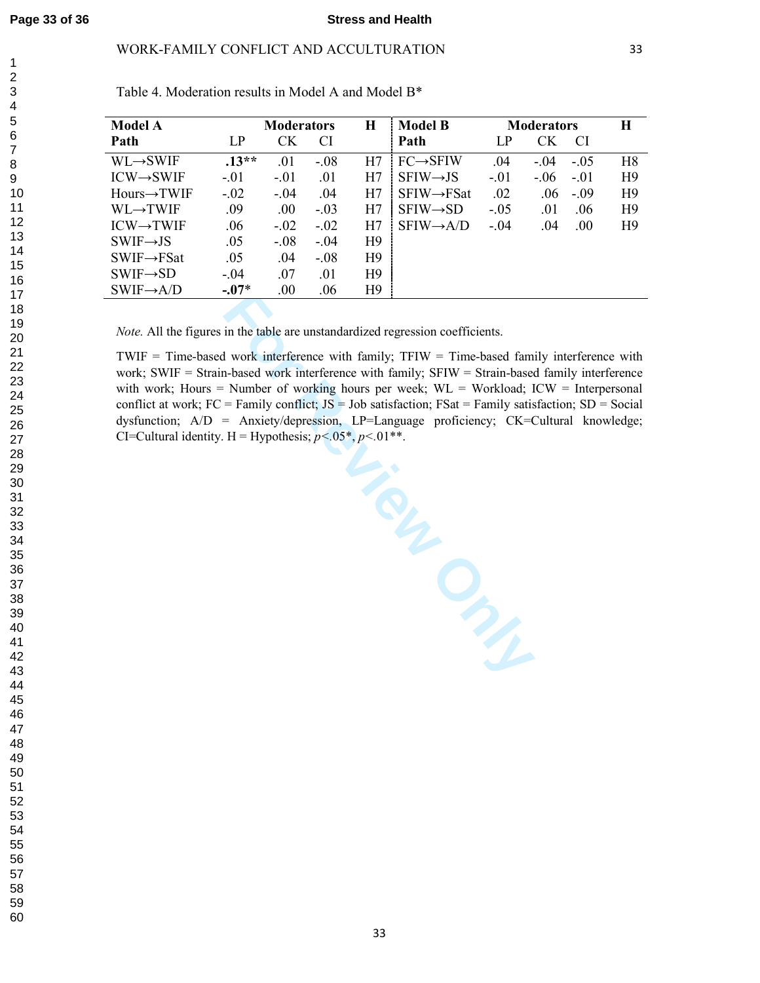## WORK-FAMILY CONFLICT AND ACCULTURATION

| <b>Model A</b>           |         | <b>Moderators</b> |        | Н              | <b>Model B</b>          |        | <b>Moderators</b> | H              |
|--------------------------|---------|-------------------|--------|----------------|-------------------------|--------|-------------------|----------------|
| Path                     | LP      | СK                | CI     |                | Path                    | LP     | СK<br>CI.         |                |
| $WL \rightarrow SWIF$    | $.13**$ | .01               | $-.08$ | H7             | $FC \rightarrow SFIW$   | .04    | $-0.5$<br>$-.04$  | H <sup>8</sup> |
| $ICW \rightarrow SWIF$   | $-.01$  | $-.01$            | .01    | Η7             | $SFIW \rightarrow JS$   | $-.01$ | $-0.06$<br>$-.01$ | H <sub>9</sub> |
| $Hours \rightarrow TWIF$ | $-.02$  | $-.04$            | .04    | H7             | $SFIW \rightarrow FSat$ | .02    | .06<br>$-.09$     | H <sub>9</sub> |
| WL→TWIF                  | .09     | .00.              | $-.03$ | H7             | $SFIW \rightarrow SD$   | $-.05$ | .01<br>.06        | H <sub>9</sub> |
| $ICW \rightarrow TWIF$   | .06     | $-.02$            | $-.02$ | H7             | $SFIW \rightarrow A/D$  | $-.04$ | .00.<br>.04       | H <sub>9</sub> |
| $SWIF \rightarrow JS$    | .05     | $-0.08$           | $-.04$ | H <sub>9</sub> |                         |        |                   |                |
| $SWIF \rightarrow FSat$  | .05     | .04               | $-.08$ | H <sub>9</sub> |                         |        |                   |                |
| $SWIF \rightarrow SD$    | $-.04$  | .07               | .01    | H <sub>9</sub> |                         |        |                   |                |
| $SWIF \rightarrow A/D$   | $-.07*$ | .00               | .06    | H <sub>9</sub> |                         |        |                   |                |

Table 4. Moderation results in Model A and Model B\*

*Note.* All the figures in the table are unstandardized regression coefficients.

 $TWIF = Time-based work interference with family; TFIW = Time-based family interference with$ work; SWIF = Strain-based work interference with family; SFIW = Strain-based family interference with work; Hours = Number of working hours per week;  $WL = Workload$ ;  $ICW = Interpersonal$ conflict at work;  $FC = Family conflict$ ;  $JS = Job$  satisfaction;  $FSat = Family$  satisfaction;  $SD = Social$ dysfunction; A/D = Anxiety/depression, LP=Language proficiency; CK=Cultural knowledge; CI=Cultural identity. H = Hypothesis;  $p < .05^*$ ,  $p < .01^{**}$ .

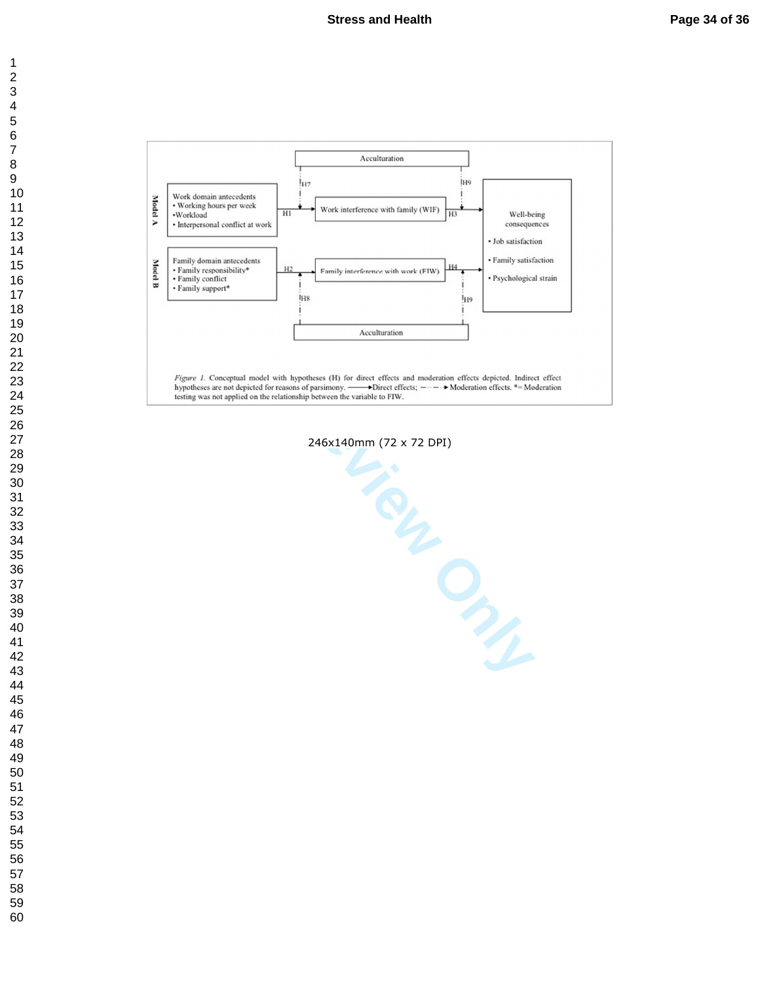



246x140mm (72 x 72 DPI)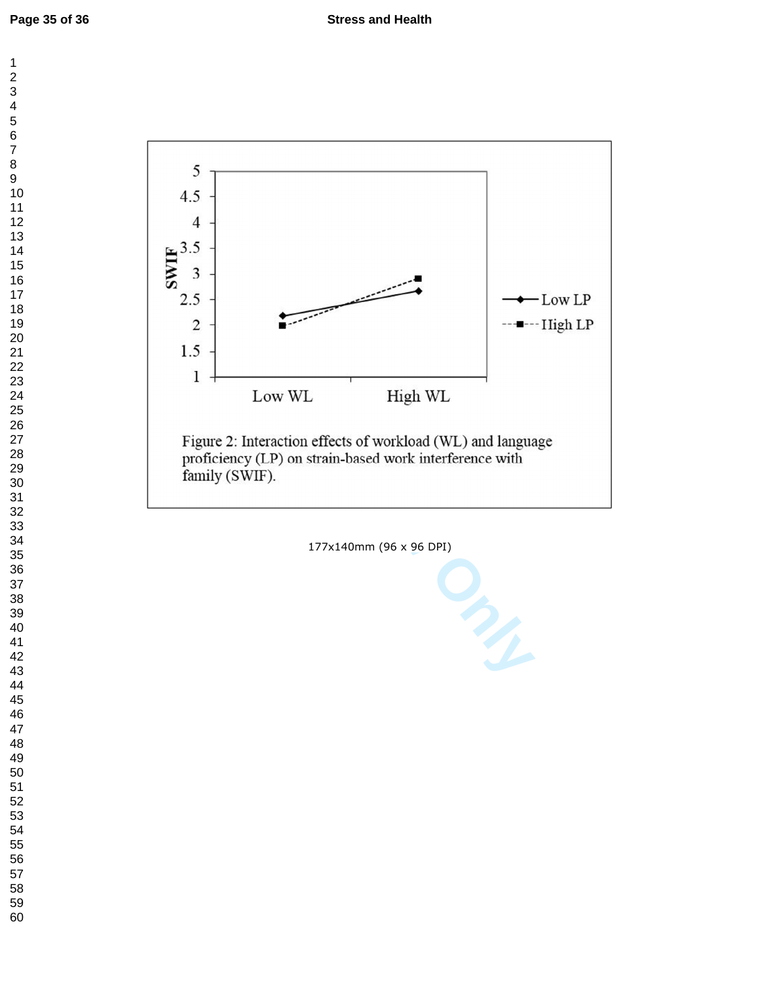$\mathbf 1$  $\overline{c}$ 



177x140mm (96 x 96 DPI)